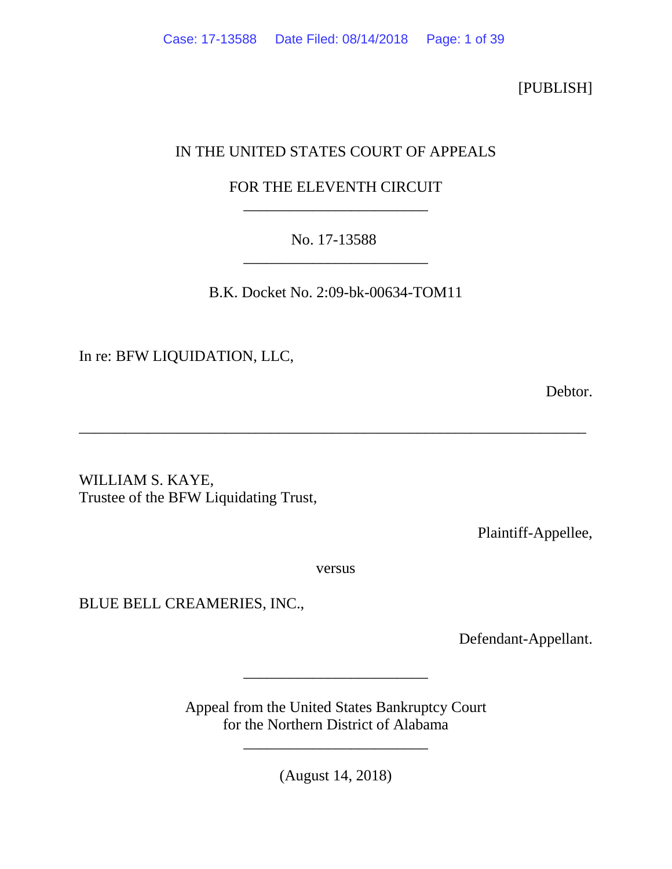[PUBLISH]

# IN THE UNITED STATES COURT OF APPEALS

# FOR THE ELEVENTH CIRCUIT \_\_\_\_\_\_\_\_\_\_\_\_\_\_\_\_\_\_\_\_\_\_\_\_

# No. 17-13588 \_\_\_\_\_\_\_\_\_\_\_\_\_\_\_\_\_\_\_\_\_\_\_\_

B.K. Docket No. 2:09-bk-00634-TOM11

\_\_\_\_\_\_\_\_\_\_\_\_\_\_\_\_\_\_\_\_\_\_\_\_\_\_\_\_\_\_\_\_\_\_\_\_\_\_\_\_\_\_\_\_\_\_\_\_\_\_\_\_\_\_\_\_\_\_\_\_\_\_\_\_\_\_

In re: BFW LIQUIDATION, LLC,

**Debtor.** 

WILLIAM S. KAYE, Trustee of the BFW Liquidating Trust,

Plaintiff-Appellee,

versus

BLUE BELL CREAMERIES, INC.,

Defendant-Appellant.

Appeal from the United States Bankruptcy Court for the Northern District of Alabama

\_\_\_\_\_\_\_\_\_\_\_\_\_\_\_\_\_\_\_\_\_\_\_\_

(August 14, 2018)

\_\_\_\_\_\_\_\_\_\_\_\_\_\_\_\_\_\_\_\_\_\_\_\_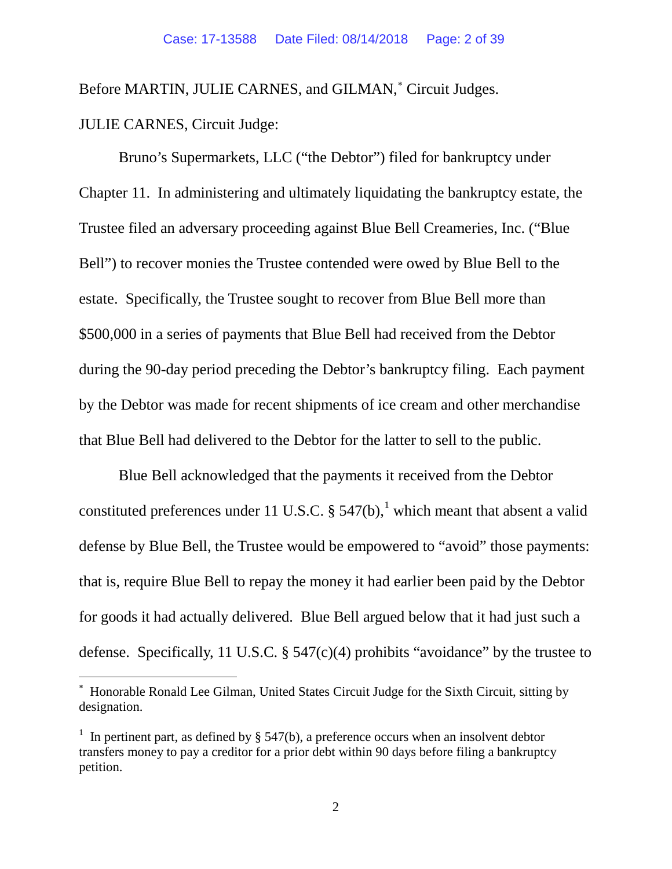Before MARTIN, JULIE CARNES, and GILMAN,<sup>\*</sup> Circuit Judges. JULIE CARNES, Circuit Judge:

Bruno's Supermarkets, LLC ("the Debtor") filed for bankruptcy under Chapter 11. In administering and ultimately liquidating the bankruptcy estate, the Trustee filed an adversary proceeding against Blue Bell Creameries, Inc. ("Blue Bell") to recover monies the Trustee contended were owed by Blue Bell to the estate. Specifically, the Trustee sought to recover from Blue Bell more than \$500,000 in a series of payments that Blue Bell had received from the Debtor during the 90-day period preceding the Debtor's bankruptcy filing. Each payment by the Debtor was made for recent shipments of ice cream and other merchandise that Blue Bell had delivered to the Debtor for the latter to sell to the public.

Blue Bell acknowledged that the payments it received from the Debtor constituted preferences under [1](#page-1-1)1 U.S.C.  $\S$  547(b), which meant that absent a valid defense by Blue Bell, the Trustee would be empowered to "avoid" those payments: that is, require Blue Bell to repay the money it had earlier been paid by the Debtor for goods it had actually delivered. Blue Bell argued below that it had just such a defense. Specifically, 11 U.S.C.  $\S$  547(c)(4) prohibits "avoidance" by the trustee to

<span id="page-1-0"></span>∗ Honorable Ronald Lee Gilman, United States Circuit Judge for the Sixth Circuit, sitting by designation.

<span id="page-1-1"></span><sup>&</sup>lt;sup>1</sup> In pertinent part, as defined by § 547(b), a preference occurs when an insolvent debtor transfers money to pay a creditor for a prior debt within 90 days before filing a bankruptcy petition.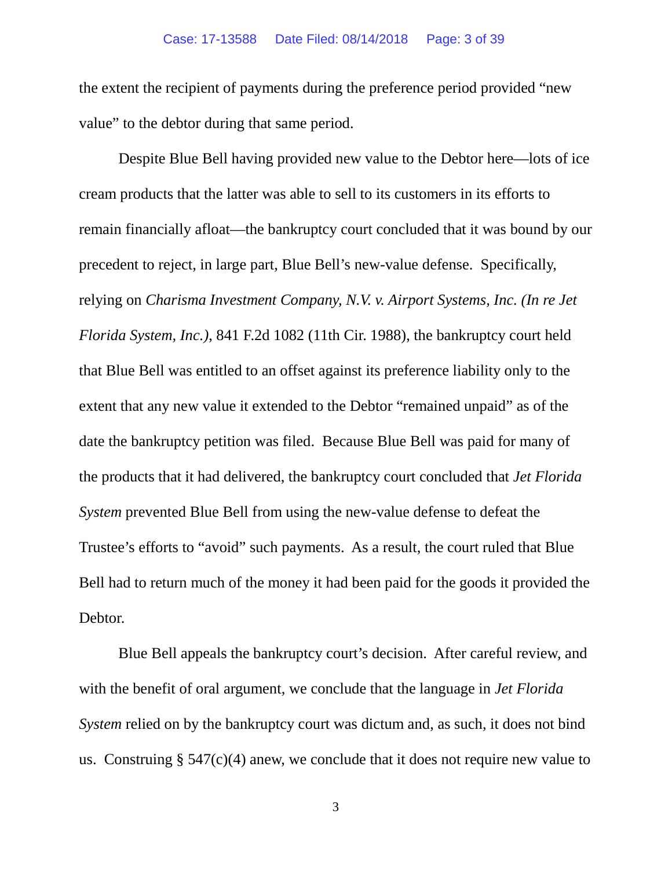the extent the recipient of payments during the preference period provided "new value" to the debtor during that same period.

Despite Blue Bell having provided new value to the Debtor here—lots of ice cream products that the latter was able to sell to its customers in its efforts to remain financially afloat—the bankruptcy court concluded that it was bound by our precedent to reject, in large part, Blue Bell's new-value defense. Specifically, relying on *Charisma Investment Company, N.V. v. Airport Systems, Inc. (In re Jet Florida System, Inc.)*, 841 F.2d 1082 (11th Cir. 1988), the bankruptcy court held that Blue Bell was entitled to an offset against its preference liability only to the extent that any new value it extended to the Debtor "remained unpaid" as of the date the bankruptcy petition was filed. Because Blue Bell was paid for many of the products that it had delivered, the bankruptcy court concluded that *Jet Florida System* prevented Blue Bell from using the new-value defense to defeat the Trustee's efforts to "avoid" such payments. As a result, the court ruled that Blue Bell had to return much of the money it had been paid for the goods it provided the Debtor.

Blue Bell appeals the bankruptcy court's decision. After careful review, and with the benefit of oral argument, we conclude that the language in *Jet Florida System* relied on by the bankruptcy court was dictum and, as such, it does not bind us. Construing  $\S 547(c)(4)$  anew, we conclude that it does not require new value to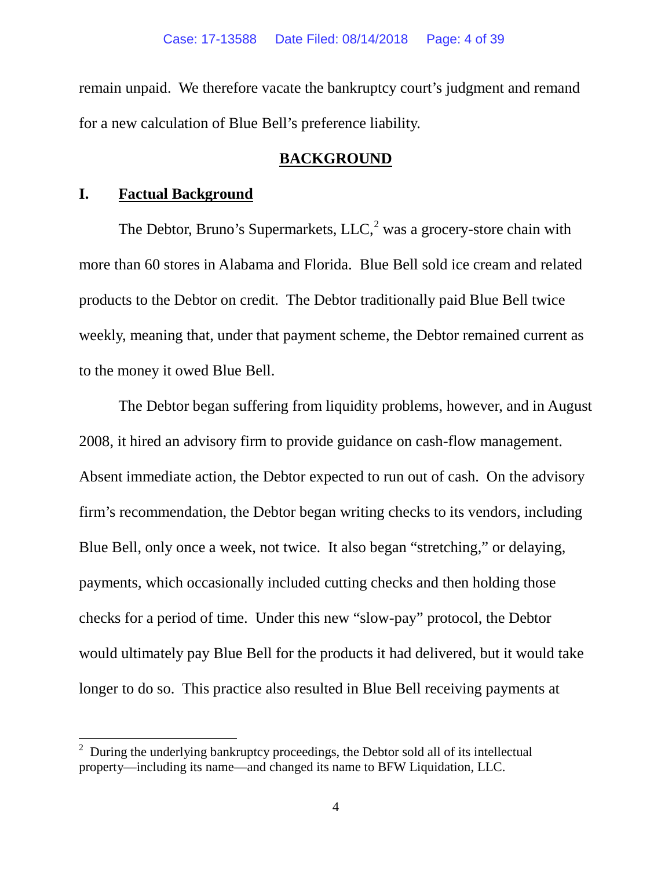remain unpaid. We therefore vacate the bankruptcy court's judgment and remand for a new calculation of Blue Bell's preference liability.

# **BACKGROUND**

## **I. Factual Background**

The Debtor, Bruno's Supermarkets,  $LLC<sub>1</sub><sup>2</sup>$  $LLC<sub>1</sub><sup>2</sup>$  $LLC<sub>1</sub><sup>2</sup>$  was a grocery-store chain with more than 60 stores in Alabama and Florida. Blue Bell sold ice cream and related products to the Debtor on credit. The Debtor traditionally paid Blue Bell twice weekly, meaning that, under that payment scheme, the Debtor remained current as to the money it owed Blue Bell.

The Debtor began suffering from liquidity problems, however, and in August 2008, it hired an advisory firm to provide guidance on cash-flow management. Absent immediate action, the Debtor expected to run out of cash. On the advisory firm's recommendation, the Debtor began writing checks to its vendors, including Blue Bell, only once a week, not twice. It also began "stretching," or delaying, payments, which occasionally included cutting checks and then holding those checks for a period of time. Under this new "slow-pay" protocol, the Debtor would ultimately pay Blue Bell for the products it had delivered, but it would take longer to do so. This practice also resulted in Blue Bell receiving payments at

<span id="page-3-0"></span><sup>&</sup>lt;sup>2</sup> During the underlying bankruptcy proceedings, the Debtor sold all of its intellectual property—including its name—and changed its name to BFW Liquidation, LLC.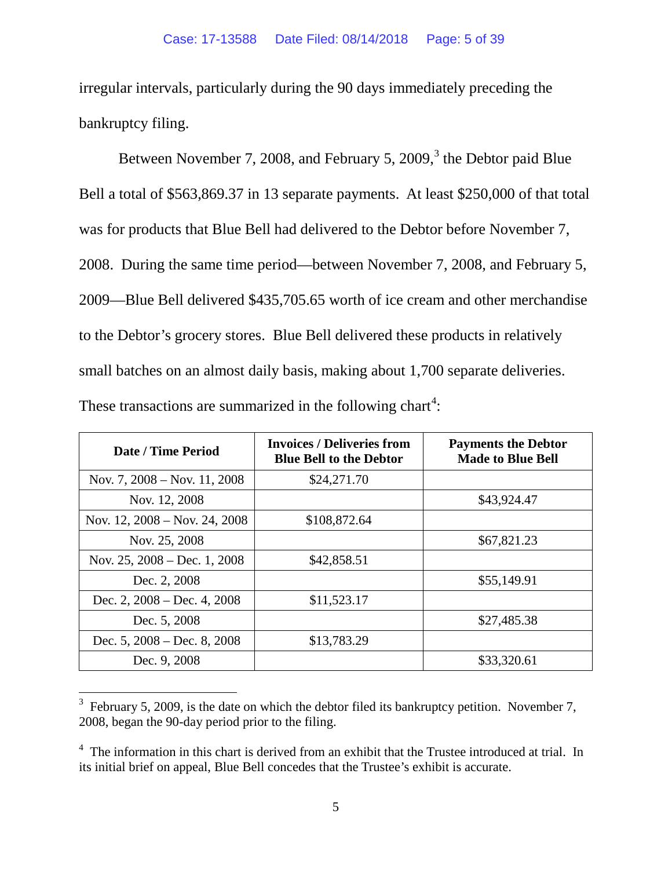irregular intervals, particularly during the 90 days immediately preceding the bankruptcy filing.

Between November 7, 2008, and February 5, 2009, $3$  the Debtor paid Blue Bell a total of \$563,869.37 in 13 separate payments. At least \$250,000 of that total was for products that Blue Bell had delivered to the Debtor before November 7, 2008. During the same time period—between November 7, 2008, and February 5, 2009—Blue Bell delivered \$435,705.65 worth of ice cream and other merchandise to the Debtor's grocery stores. Blue Bell delivered these products in relatively small batches on an almost daily basis, making about 1,700 separate deliveries. These transactions are summarized in the following chart<sup>[4](#page-4-1)</sup>:

| Date / Time Period                      | <b>Invoices / Deliveries from</b><br><b>Blue Bell to the Debtor</b> | <b>Payments the Debtor</b><br><b>Made to Blue Bell</b> |
|-----------------------------------------|---------------------------------------------------------------------|--------------------------------------------------------|
| Nov. 7, $2008 - \text{Nov. } 11, 2008$  | \$24,271.70                                                         |                                                        |
| Nov. 12, 2008                           |                                                                     | \$43,924.47                                            |
| Nov. $12, 2008 - \text{Nov. } 24, 2008$ | \$108,872.64                                                        |                                                        |
| Nov. 25, 2008                           |                                                                     | \$67,821.23                                            |
| Nov. 25, $2008 - Dec. 1, 2008$          | \$42,858.51                                                         |                                                        |
| Dec. 2, 2008                            |                                                                     | \$55,149.91                                            |
| Dec. 2, $2008 - Dec. 4$ , $2008$        | \$11,523.17                                                         |                                                        |
| Dec. 5, 2008                            |                                                                     | \$27,485.38                                            |
| Dec. $5, 2008 - Dec. 8, 2008$           | \$13,783.29                                                         |                                                        |
| Dec. 9, 2008                            |                                                                     | \$33,320.61                                            |

<span id="page-4-0"></span> $3$  February 5, 2009, is the date on which the debtor filed its bankruptcy petition. November 7, 2008, began the 90-day period prior to the filing.

<span id="page-4-1"></span> $4\text{ }$  The information in this chart is derived from an exhibit that the Trustee introduced at trial. In its initial brief on appeal, Blue Bell concedes that the Trustee's exhibit is accurate.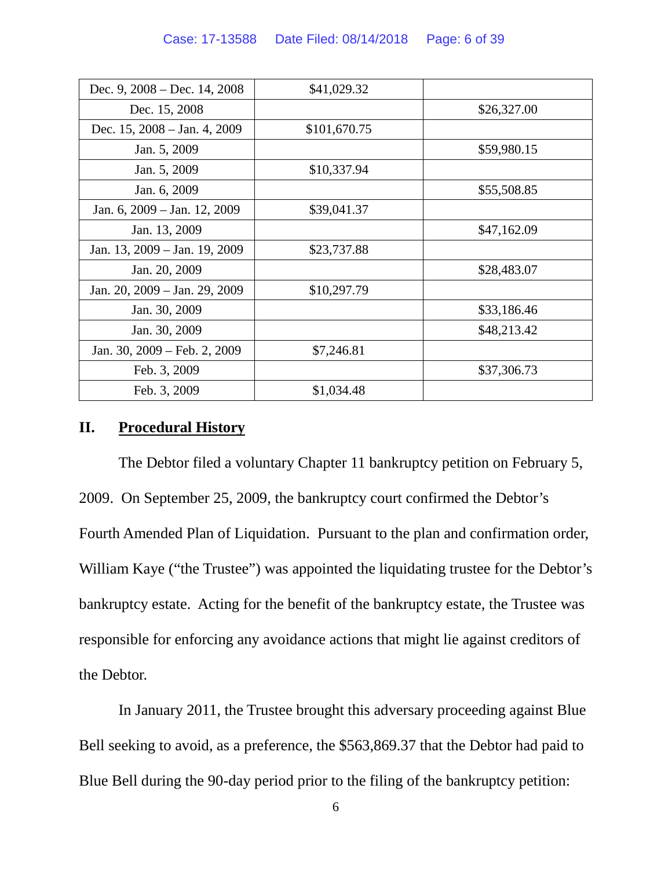| Dec. 9, $2008 - Dec. 14, 2008$            | \$41,029.32  |             |
|-------------------------------------------|--------------|-------------|
| Dec. 15, 2008                             |              | \$26,327.00 |
| Dec. 15, $2008 - \text{Jan. } 4$ , $2009$ | \$101,670.75 |             |
| Jan. 5, 2009                              |              | \$59,980.15 |
| Jan. 5, 2009                              | \$10,337.94  |             |
| Jan. 6, 2009                              |              | \$55,508.85 |
| Jan. 6, 2009 – Jan. 12, 2009              | \$39,041.37  |             |
| Jan. 13, 2009                             |              | \$47,162.09 |
| Jan. 13, 2009 – Jan. 19, 2009             | \$23,737.88  |             |
| Jan. 20, 2009                             |              | \$28,483.07 |
| Jan. 20, 2009 – Jan. 29, 2009             | \$10,297.79  |             |
| Jan. 30, 2009                             |              | \$33,186.46 |
| Jan. 30, 2009                             |              | \$48,213.42 |
| Jan. 30, 2009 – Feb. 2, 2009              | \$7,246.81   |             |
| Feb. 3, 2009                              |              | \$37,306.73 |
| Feb. 3, 2009                              | \$1,034.48   |             |

## **II. Procedural History**

The Debtor filed a voluntary Chapter 11 bankruptcy petition on February 5, 2009. On September 25, 2009, the bankruptcy court confirmed the Debtor's Fourth Amended Plan of Liquidation. Pursuant to the plan and confirmation order, William Kaye ("the Trustee") was appointed the liquidating trustee for the Debtor's bankruptcy estate. Acting for the benefit of the bankruptcy estate, the Trustee was responsible for enforcing any avoidance actions that might lie against creditors of the Debtor.

In January 2011, the Trustee brought this adversary proceeding against Blue Bell seeking to avoid, as a preference, the \$563,869.37 that the Debtor had paid to Blue Bell during the 90-day period prior to the filing of the bankruptcy petition: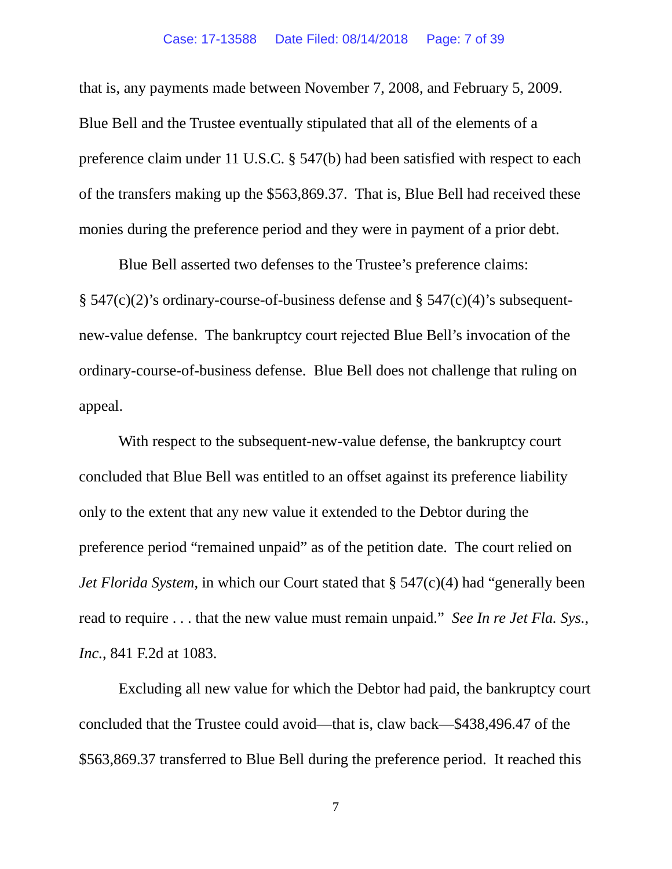#### Case: 17-13588 Date Filed: 08/14/2018 Page: 7 of 39

that is, any payments made between November 7, 2008, and February 5, 2009. Blue Bell and the Trustee eventually stipulated that all of the elements of a preference claim under 11 U.S.C. § 547(b) had been satisfied with respect to each of the transfers making up the \$563,869.37. That is, Blue Bell had received these monies during the preference period and they were in payment of a prior debt.

Blue Bell asserted two defenses to the Trustee's preference claims:  $\S$  547(c)(2)'s ordinary-course-of-business defense and  $\S$  547(c)(4)'s subsequentnew-value defense. The bankruptcy court rejected Blue Bell's invocation of the ordinary-course-of-business defense. Blue Bell does not challenge that ruling on appeal.

With respect to the subsequent-new-value defense, the bankruptcy court concluded that Blue Bell was entitled to an offset against its preference liability only to the extent that any new value it extended to the Debtor during the preference period "remained unpaid" as of the petition date. The court relied on *Jet Florida System*, in which our Court stated that § 547(c)(4) had "generally been read to require . . . that the new value must remain unpaid." *See In re Jet Fla. Sys., Inc.*, 841 F.2d at 1083.

Excluding all new value for which the Debtor had paid, the bankruptcy court concluded that the Trustee could avoid—that is, claw back—\$438,496.47 of the \$563,869.37 transferred to Blue Bell during the preference period. It reached this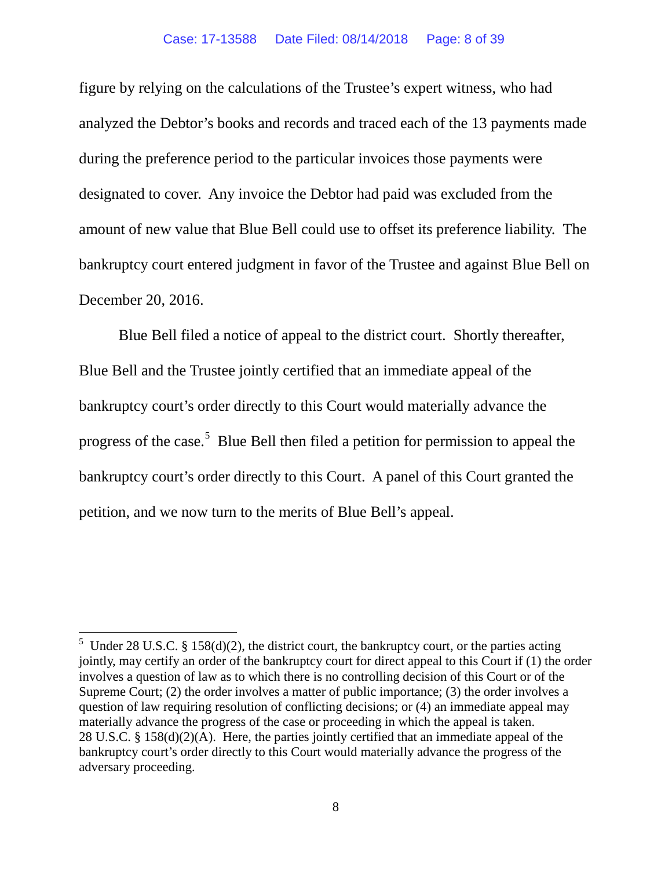#### Case: 17-13588 Date Filed: 08/14/2018 Page: 8 of 39

figure by relying on the calculations of the Trustee's expert witness, who had analyzed the Debtor's books and records and traced each of the 13 payments made during the preference period to the particular invoices those payments were designated to cover. Any invoice the Debtor had paid was excluded from the amount of new value that Blue Bell could use to offset its preference liability. The bankruptcy court entered judgment in favor of the Trustee and against Blue Bell on December 20, 2016.

Blue Bell filed a notice of appeal to the district court. Shortly thereafter, Blue Bell and the Trustee jointly certified that an immediate appeal of the bankruptcy court's order directly to this Court would materially advance the progress of the case.<sup>[5](#page-7-0)</sup> Blue Bell then filed a petition for permission to appeal the bankruptcy court's order directly to this Court. A panel of this Court granted the petition, and we now turn to the merits of Blue Bell's appeal.

<span id="page-7-0"></span><sup>&</sup>lt;sup>5</sup> Under 28 U.S.C. § 158(d)(2), the district court, the bankruptcy court, or the parties acting jointly, may certify an order of the bankruptcy court for direct appeal to this Court if (1) the order involves a question of law as to which there is no controlling decision of this Court or of the Supreme Court; (2) the order involves a matter of public importance; (3) the order involves a question of law requiring resolution of conflicting decisions; or (4) an immediate appeal may materially advance the progress of the case or proceeding in which the appeal is taken. 28 U.S.C. § 158(d)(2)(A). Here, the parties jointly certified that an immediate appeal of the bankruptcy court's order directly to this Court would materially advance the progress of the adversary proceeding.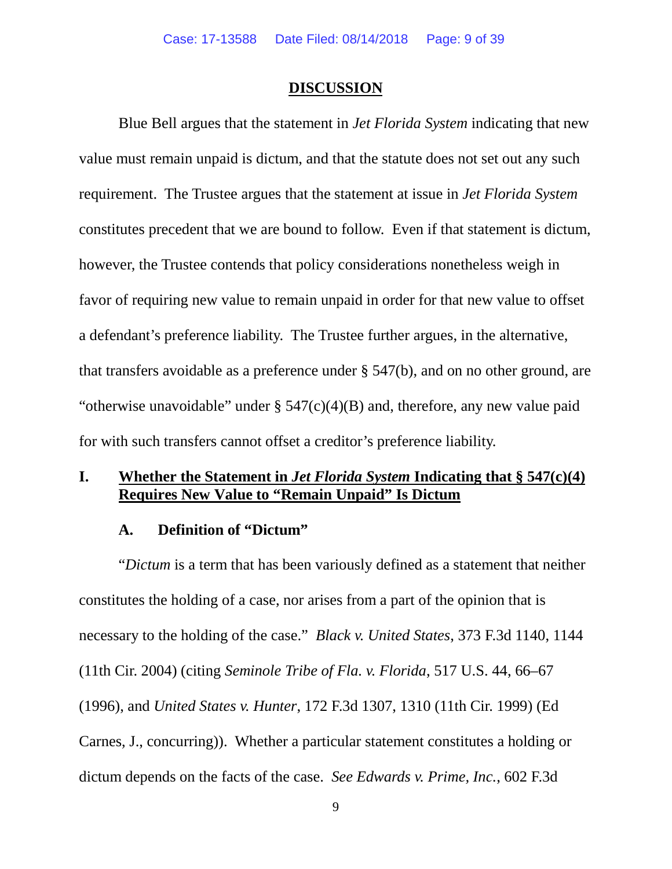## **DISCUSSION**

Blue Bell argues that the statement in *Jet Florida System* indicating that new value must remain unpaid is dictum, and that the statute does not set out any such requirement. The Trustee argues that the statement at issue in *Jet Florida System*  constitutes precedent that we are bound to follow. Even if that statement is dictum, however, the Trustee contends that policy considerations nonetheless weigh in favor of requiring new value to remain unpaid in order for that new value to offset a defendant's preference liability. The Trustee further argues, in the alternative, that transfers avoidable as a preference under § 547(b), and on no other ground, are "otherwise unavoidable" under § 547(c)(4)(B) and, therefore, any new value paid for with such transfers cannot offset a creditor's preference liability.

# **I. Whether the Statement in** *Jet Florida System* **Indicating that § 547(c)(4) Requires New Value to "Remain Unpaid" Is Dictum**

## **A. Definition of "Dictum"**

"*Dictum* is a term that has been variously defined as a statement that neither constitutes the holding of a case, nor arises from a part of the opinion that is necessary to the holding of the case." *Black v. United States*, 373 F.3d 1140, 1144 (11th Cir. 2004) (citing *Seminole Tribe of Fla. v. Florida*, 517 U.S. 44, 66–67 (1996), and *United States v. Hunter*, 172 F.3d 1307, 1310 (11th Cir. 1999) (Ed Carnes, J., concurring)). Whether a particular statement constitutes a holding or dictum depends on the facts of the case. *See Edwards v. Prime, Inc.*, 602 F.3d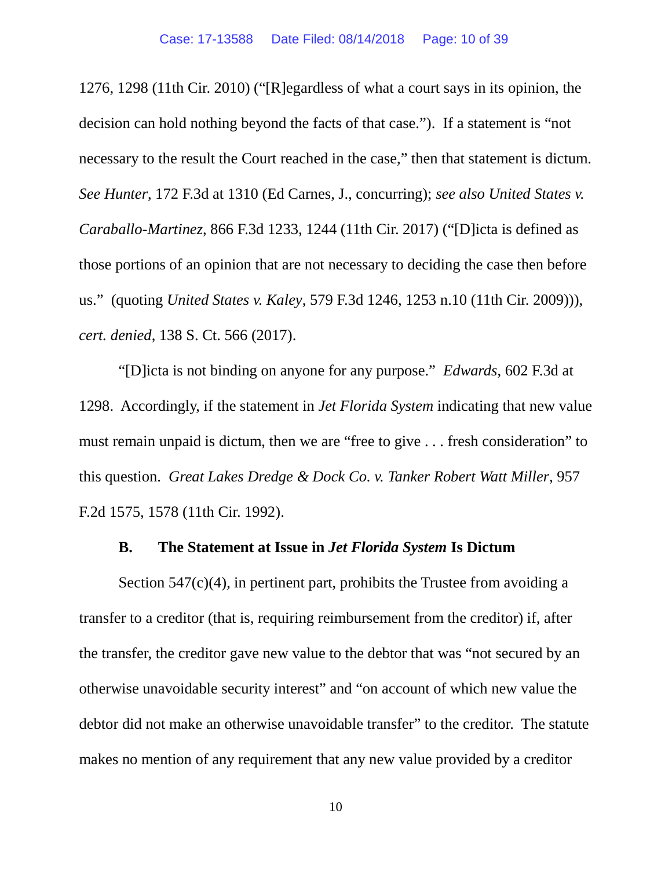1276, 1298 (11th Cir. 2010) ("[R]egardless of what a court says in its opinion, the decision can hold nothing beyond the facts of that case."). If a statement is "not necessary to the result the Court reached in the case," then that statement is dictum. *See Hunter*, 172 F.3d at 1310 (Ed Carnes, J., concurring); *see also United States v. Caraballo-Martinez*, 866 F.3d 1233, 1244 (11th Cir. 2017) ("[D]icta is defined as those portions of an opinion that are not necessary to deciding the case then before us." (quoting *United States v. Kaley*, 579 F.3d 1246, 1253 n.10 (11th Cir. 2009))), *cert. denied*, 138 S. Ct. 566 (2017).

"[D]icta is not binding on anyone for any purpose." *Edwards*, 602 F.3d at 1298. Accordingly, if the statement in *Jet Florida System* indicating that new value must remain unpaid is dictum, then we are "free to give . . . fresh consideration" to this question. *Great Lakes Dredge & Dock Co. v. Tanker Robert Watt Miller*, 957 F.2d 1575, 1578 (11th Cir. 1992).

## **B. The Statement at Issue in** *Jet Florida System* **Is Dictum**

Section  $547(c)(4)$ , in pertinent part, prohibits the Trustee from avoiding a transfer to a creditor (that is, requiring reimbursement from the creditor) if, after the transfer, the creditor gave new value to the debtor that was "not secured by an otherwise unavoidable security interest" and "on account of which new value the debtor did not make an otherwise unavoidable transfer" to the creditor. The statute makes no mention of any requirement that any new value provided by a creditor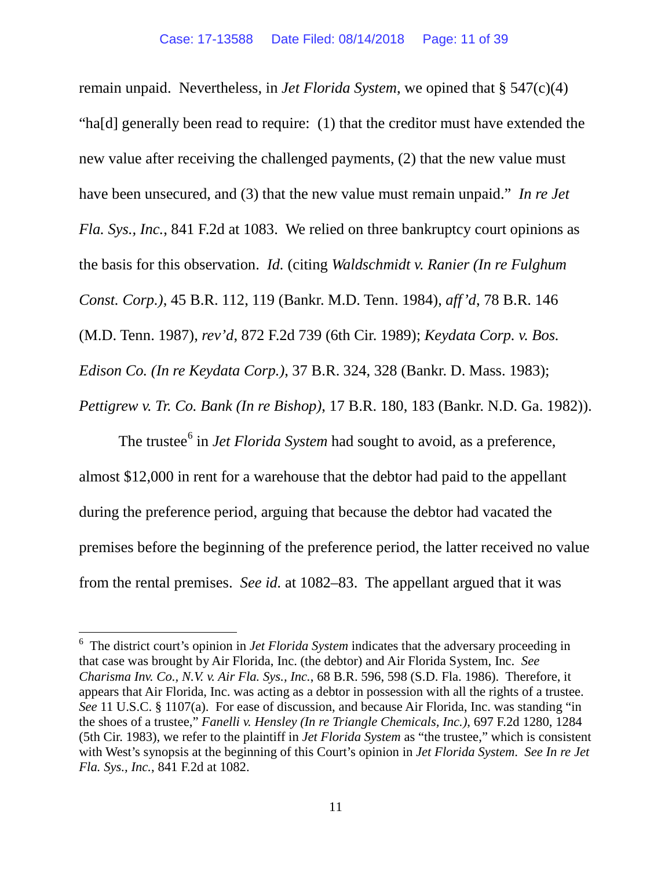remain unpaid. Nevertheless, in *Jet Florida System*, we opined that § 547(c)(4) "ha[d] generally been read to require: (1) that the creditor must have extended the new value after receiving the challenged payments, (2) that the new value must have been unsecured, and (3) that the new value must remain unpaid." *In re Jet Fla. Sys., Inc.*, 841 F.2d at 1083. We relied on three bankruptcy court opinions as the basis for this observation. *Id.* (citing *Waldschmidt v. Ranier (In re Fulghum Const. Corp.)*, 45 B.R. 112, 119 (Bankr. M.D. Tenn. 1984), *aff'd*, 78 B.R. 146 (M.D. Tenn. 1987), *rev'd*, 872 F.2d 739 (6th Cir. 1989); *Keydata Corp. v. Bos. Edison Co. (In re Keydata Corp.)*, 37 B.R. 324, 328 (Bankr. D. Mass. 1983); *Pettigrew v. Tr. Co. Bank (In re Bishop)*, 17 B.R. 180, 183 (Bankr. N.D. Ga. 1982)).

The trustee<sup>[6](#page-10-0)</sup> in *Jet Florida System* had sought to avoid, as a preference, almost \$12,000 in rent for a warehouse that the debtor had paid to the appellant during the preference period, arguing that because the debtor had vacated the premises before the beginning of the preference period, the latter received no value from the rental premises. *See id.* at 1082–83. The appellant argued that it was

<span id="page-10-0"></span><sup>&</sup>lt;sup>6</sup> The district court's opinion in *Jet Florida System* indicates that the adversary proceeding in that case was brought by Air Florida, Inc. (the debtor) and Air Florida System, Inc. *See Charisma Inv. Co., N.V. v. Air Fla. Sys., Inc.*, 68 B.R. 596, 598 (S.D. Fla. 1986). Therefore, it appears that Air Florida, Inc. was acting as a debtor in possession with all the rights of a trustee. *See* 11 U.S.C. § 1107(a). For ease of discussion, and because Air Florida, Inc. was standing "in the shoes of a trustee," *Fanelli v. Hensley (In re Triangle Chemicals, Inc.)*, 697 F.2d 1280, 1284 (5th Cir. 1983), we refer to the plaintiff in *Jet Florida System* as "the trustee," which is consistent with West's synopsis at the beginning of this Court's opinion in *Jet Florida System*. *See In re Jet Fla. Sys., Inc.*, 841 F.2d at 1082.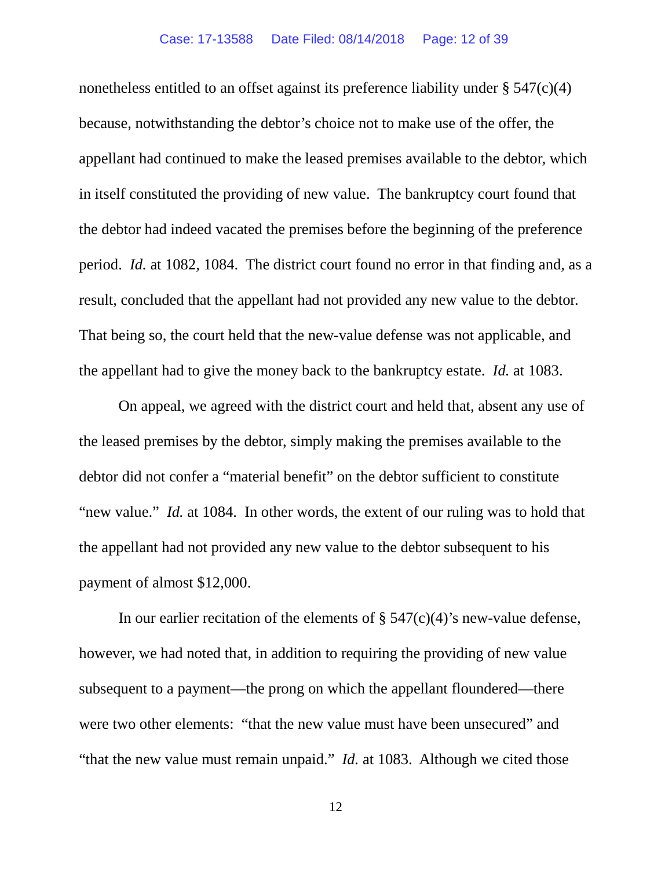### Case: 17-13588 Date Filed: 08/14/2018 Page: 12 of 39

nonetheless entitled to an offset against its preference liability under  $\S 547(c)(4)$ because, notwithstanding the debtor's choice not to make use of the offer, the appellant had continued to make the leased premises available to the debtor, which in itself constituted the providing of new value. The bankruptcy court found that the debtor had indeed vacated the premises before the beginning of the preference period. *Id.* at 1082, 1084. The district court found no error in that finding and, as a result, concluded that the appellant had not provided any new value to the debtor. That being so, the court held that the new-value defense was not applicable, and the appellant had to give the money back to the bankruptcy estate. *Id.* at 1083.

On appeal, we agreed with the district court and held that, absent any use of the leased premises by the debtor, simply making the premises available to the debtor did not confer a "material benefit" on the debtor sufficient to constitute "new value." *Id.* at 1084. In other words, the extent of our ruling was to hold that the appellant had not provided any new value to the debtor subsequent to his payment of almost \$12,000.

In our earlier recitation of the elements of  $\S$  547(c)(4)'s new-value defense, however, we had noted that, in addition to requiring the providing of new value subsequent to a payment—the prong on which the appellant floundered—there were two other elements: "that the new value must have been unsecured" and "that the new value must remain unpaid." *Id.* at 1083. Although we cited those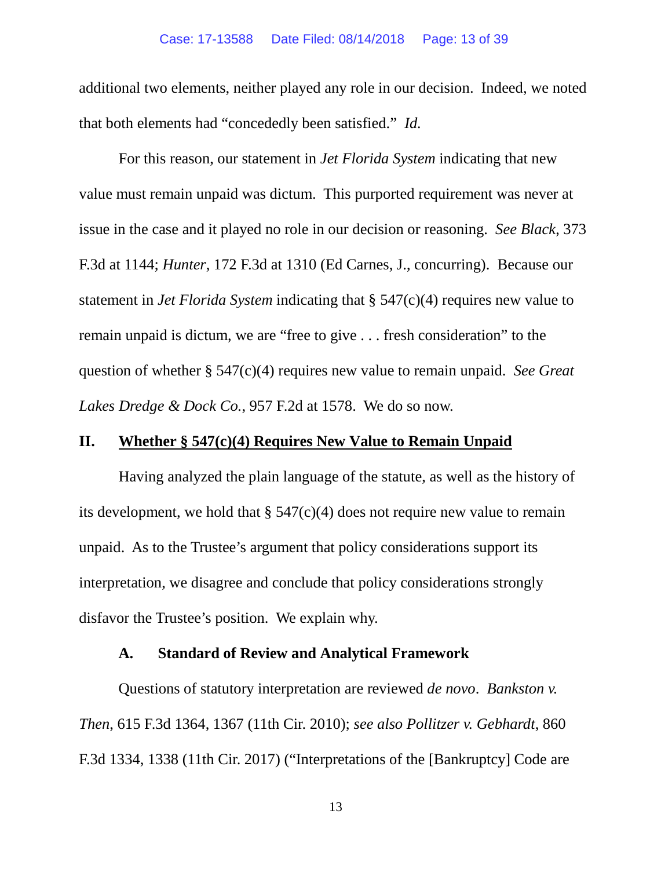### Case: 17-13588 Date Filed: 08/14/2018 Page: 13 of 39

additional two elements, neither played any role in our decision. Indeed, we noted that both elements had "concededly been satisfied." *Id.*

For this reason, our statement in *Jet Florida System* indicating that new value must remain unpaid was dictum. This purported requirement was never at issue in the case and it played no role in our decision or reasoning. *See Black*, 373 F.3d at 1144; *Hunter*, 172 F.3d at 1310 (Ed Carnes, J., concurring). Because our statement in *Jet Florida System* indicating that § 547(c)(4) requires new value to remain unpaid is dictum, we are "free to give . . . fresh consideration" to the question of whether § 547(c)(4) requires new value to remain unpaid. *See Great Lakes Dredge & Dock Co.*, 957 F.2d at 1578. We do so now.

## **II. Whether § 547(c)(4) Requires New Value to Remain Unpaid**

Having analyzed the plain language of the statute, as well as the history of its development, we hold that  $\S$  547(c)(4) does not require new value to remain unpaid. As to the Trustee's argument that policy considerations support its interpretation, we disagree and conclude that policy considerations strongly disfavor the Trustee's position. We explain why.

## **A. Standard of Review and Analytical Framework**

Questions of statutory interpretation are reviewed *de novo*. *Bankston v. Then*, 615 F.3d 1364, 1367 (11th Cir. 2010); *see also Pollitzer v. Gebhardt*, 860 F.3d 1334, 1338 (11th Cir. 2017) ("Interpretations of the [Bankruptcy] Code are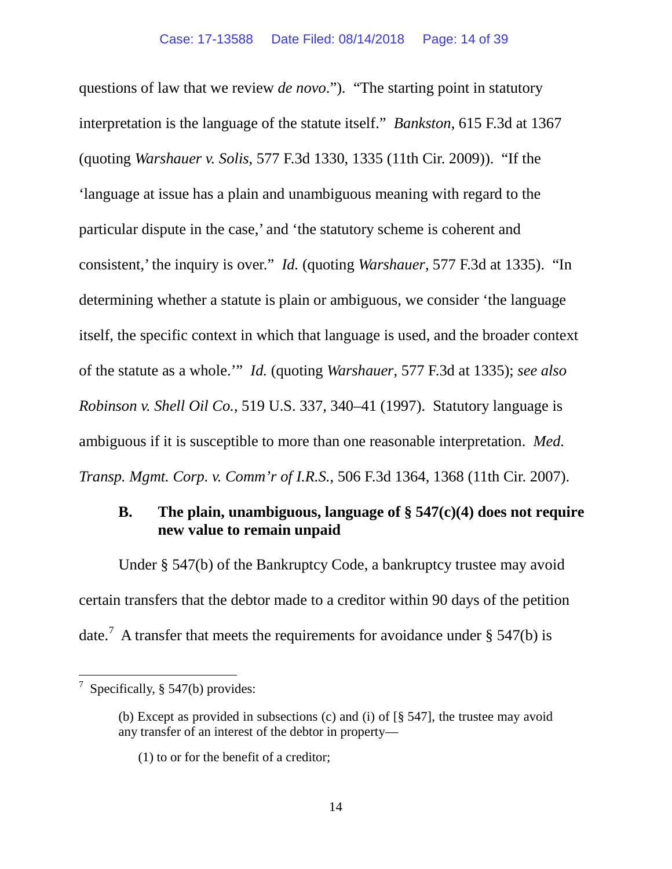questions of law that we review *de novo*."). "The starting point in statutory interpretation is the language of the statute itself." *Bankston*, 615 F.3d at 1367 (quoting *Warshauer v. Solis*, 577 F.3d 1330, 1335 (11th Cir. 2009)). "If the 'language at issue has a plain and unambiguous meaning with regard to the particular dispute in the case,' and 'the statutory scheme is coherent and consistent,' the inquiry is over." *Id.* (quoting *Warshauer*, 577 F.3d at 1335). "In determining whether a statute is plain or ambiguous, we consider 'the language itself, the specific context in which that language is used, and the broader context of the statute as a whole.'" *Id.* (quoting *Warshauer*, 577 F.3d at 1335); *see also Robinson v. Shell Oil Co.*, 519 U.S. 337, 340–41 (1997). Statutory language is ambiguous if it is susceptible to more than one reasonable interpretation. *Med. Transp. Mgmt. Corp. v. Comm'r of I.R.S.*, 506 F.3d 1364, 1368 (11th Cir. 2007).

# **B. The plain, unambiguous, language of § 547(c)(4) does not require new value to remain unpaid**

Under § 547(b) of the Bankruptcy Code, a bankruptcy trustee may avoid certain transfers that the debtor made to a creditor within 90 days of the petition date.<sup>[7](#page-13-0)</sup> A transfer that meets the requirements for avoidance under § 547(b) is

<span id="page-13-0"></span> <sup>7</sup> Specifically, § 547(b) provides:

<sup>(</sup>b) Except as provided in subsections (c) and (i) of [§ 547], the trustee may avoid any transfer of an interest of the debtor in property—

<sup>(1)</sup> to or for the benefit of a creditor;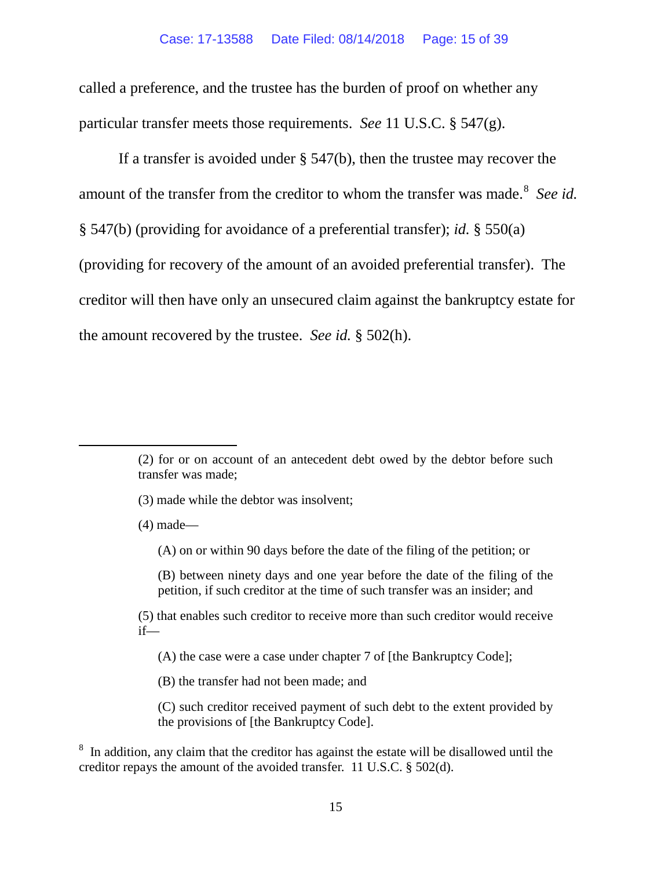called a preference, and the trustee has the burden of proof on whether any particular transfer meets those requirements. *See* 11 U.S.C. § 547(g).

If a transfer is avoided under § 547(b), then the trustee may recover the amount of the transfer from the creditor to whom the transfer was made.<sup>[8](#page-14-0)</sup> See id. § 547(b) (providing for avoidance of a preferential transfer); *id.* § 550(a) (providing for recovery of the amount of an avoided preferential transfer). The creditor will then have only an unsecured claim against the bankruptcy estate for the amount recovered by the trustee. *See id.* § 502(h).

(3) made while the debtor was insolvent;

(4) made—

 $\overline{a}$ 

(A) on or within 90 days before the date of the filing of the petition; or

(B) between ninety days and one year before the date of the filing of the petition, if such creditor at the time of such transfer was an insider; and

(5) that enables such creditor to receive more than such creditor would receive if—

(A) the case were a case under chapter 7 of [the Bankruptcy Code];

(B) the transfer had not been made; and

(C) such creditor received payment of such debt to the extent provided by the provisions of [the Bankruptcy Code].

<span id="page-14-0"></span><sup>8</sup> In addition, any claim that the creditor has against the estate will be disallowed until the creditor repays the amount of the avoided transfer. 11 U.S.C. § 502(d).

<sup>(2)</sup> for or on account of an antecedent debt owed by the debtor before such transfer was made;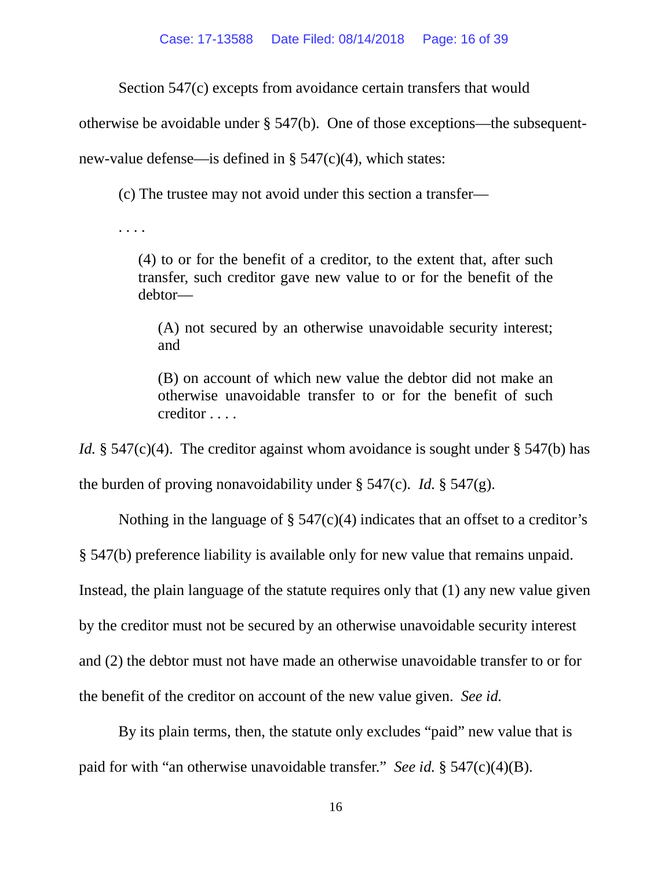Section 547(c) excepts from avoidance certain transfers that would

otherwise be avoidable under § 547(b). One of those exceptions—the subsequent-

new-value defense—is defined in § 547(c)(4), which states:

(c) The trustee may not avoid under this section a transfer—

. . . .

(4) to or for the benefit of a creditor, to the extent that, after such transfer, such creditor gave new value to or for the benefit of the debtor—

(A) not secured by an otherwise unavoidable security interest; and

(B) on account of which new value the debtor did not make an otherwise unavoidable transfer to or for the benefit of such creditor . . . .

*Id.* § 547(c)(4). The creditor against whom avoidance is sought under § 547(b) has the burden of proving nonavoidability under § 547(c). *Id.* § 547(g).

Nothing in the language of  $\S$  547(c)(4) indicates that an offset to a creditor's

§ 547(b) preference liability is available only for new value that remains unpaid.

Instead, the plain language of the statute requires only that (1) any new value given

by the creditor must not be secured by an otherwise unavoidable security interest

and (2) the debtor must not have made an otherwise unavoidable transfer to or for

the benefit of the creditor on account of the new value given. *See id.*

By its plain terms, then, the statute only excludes "paid" new value that is paid for with "an otherwise unavoidable transfer." *See id.* § 547(c)(4)(B).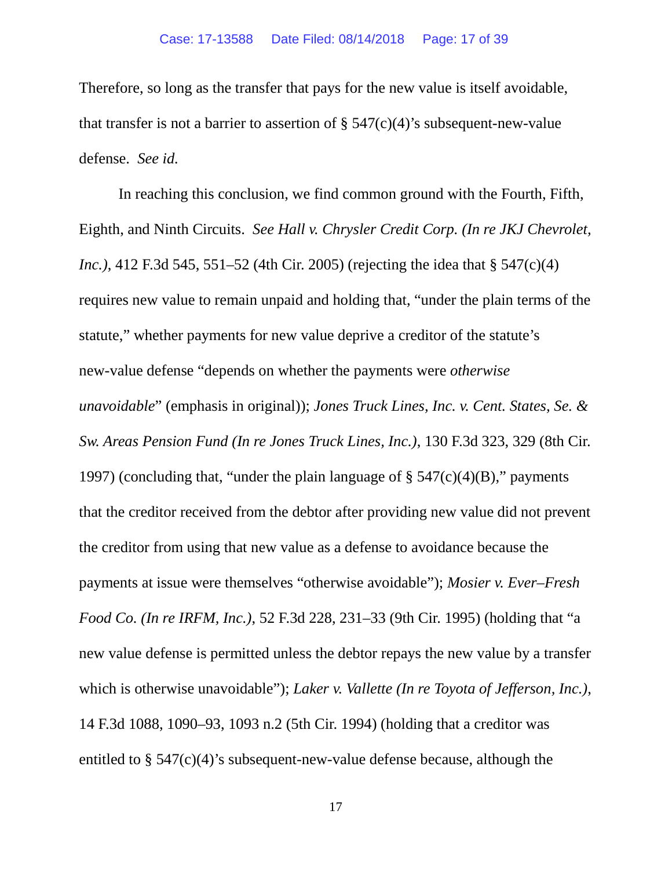Therefore, so long as the transfer that pays for the new value is itself avoidable, that transfer is not a barrier to assertion of  $\S$  547(c)(4)'s subsequent-new-value defense. *See id.*

In reaching this conclusion, we find common ground with the Fourth, Fifth, Eighth, and Ninth Circuits. *See Hall v. Chrysler Credit Corp. (In re JKJ Chevrolet, Inc.*), 412 F.3d 545, 551–52 (4th Cir. 2005) (rejecting the idea that § 547(c)(4) requires new value to remain unpaid and holding that, "under the plain terms of the statute," whether payments for new value deprive a creditor of the statute's new-value defense "depends on whether the payments were *otherwise unavoidable*" (emphasis in original)); *Jones Truck Lines, Inc. v. Cent. States, Se. & Sw. Areas Pension Fund (In re Jones Truck Lines, Inc.)*, 130 F.3d 323, 329 (8th Cir. 1997) (concluding that, "under the plain language of  $\S$  547(c)(4)(B)," payments that the creditor received from the debtor after providing new value did not prevent the creditor from using that new value as a defense to avoidance because the payments at issue were themselves "otherwise avoidable"); *Mosier v. Ever–Fresh Food Co. (In re IRFM, Inc.)*, 52 F.3d 228, 231–33 (9th Cir. 1995) (holding that "a new value defense is permitted unless the debtor repays the new value by a transfer which is otherwise unavoidable"); *Laker v. Vallette (In re Toyota of Jefferson, Inc.)*, 14 F.3d 1088, 1090–93, 1093 n.2 (5th Cir. 1994) (holding that a creditor was entitled to § 547(c)(4)'s subsequent-new-value defense because, although the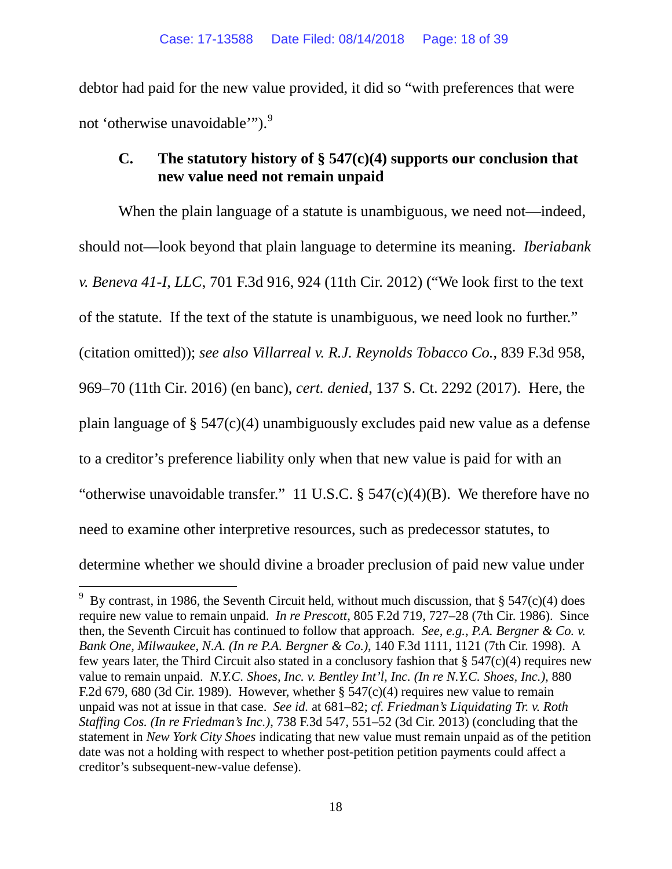debtor had paid for the new value provided, it did so "with preferences that were not 'otherwise unavoidable'").<sup>[9](#page-17-0)</sup>

# **C. The statutory history of § 547(c)(4) supports our conclusion that new value need not remain unpaid**

When the plain language of a statute is unambiguous, we need not—indeed, should not—look beyond that plain language to determine its meaning. *Iberiabank v. Beneva 41-I, LLC*, 701 F.3d 916, 924 (11th Cir. 2012) ("We look first to the text of the statute. If the text of the statute is unambiguous, we need look no further." (citation omitted)); *see also Villarreal v. R.J. Reynolds Tobacco Co.*, 839 F.3d 958, 969–70 (11th Cir. 2016) (en banc), *cert. denied*, 137 S. Ct. 2292 (2017). Here, the plain language of § 547(c)(4) unambiguously excludes paid new value as a defense to a creditor's preference liability only when that new value is paid for with an "otherwise unavoidable transfer." 11 U.S.C.  $\S$  547(c)(4)(B). We therefore have no need to examine other interpretive resources, such as predecessor statutes, to determine whether we should divine a broader preclusion of paid new value under

<span id="page-17-0"></span><sup>&</sup>lt;sup>9</sup> By contrast, in 1986, the Seventh Circuit held, without much discussion, that § 547(c)(4) does require new value to remain unpaid. *In re Prescott*, 805 F.2d 719, 727–28 (7th Cir. 1986). Since then, the Seventh Circuit has continued to follow that approach. *See, e.g.*, *P.A. Bergner & Co. v. Bank One, Milwaukee, N.A. (In re P.A. Bergner & Co.)*, 140 F.3d 1111, 1121 (7th Cir. 1998). A few years later, the Third Circuit also stated in a conclusory fashion that  $\S$  547(c)(4) requires new value to remain unpaid. *N.Y.C. Shoes, Inc. v. Bentley Int'l, Inc. (In re N.Y.C. Shoes, Inc.)*, 880 F.2d 679, 680 (3d Cir. 1989). However, whether  $\S$  547(c)(4) requires new value to remain unpaid was not at issue in that case. *See id.* at 681–82; *cf. Friedman's Liquidating Tr. v. Roth Staffing Cos. (In re Friedman's Inc.)*, 738 F.3d 547, 551–52 (3d Cir. 2013) (concluding that the statement in *New York City Shoes* indicating that new value must remain unpaid as of the petition date was not a holding with respect to whether post-petition petition payments could affect a creditor's subsequent-new-value defense).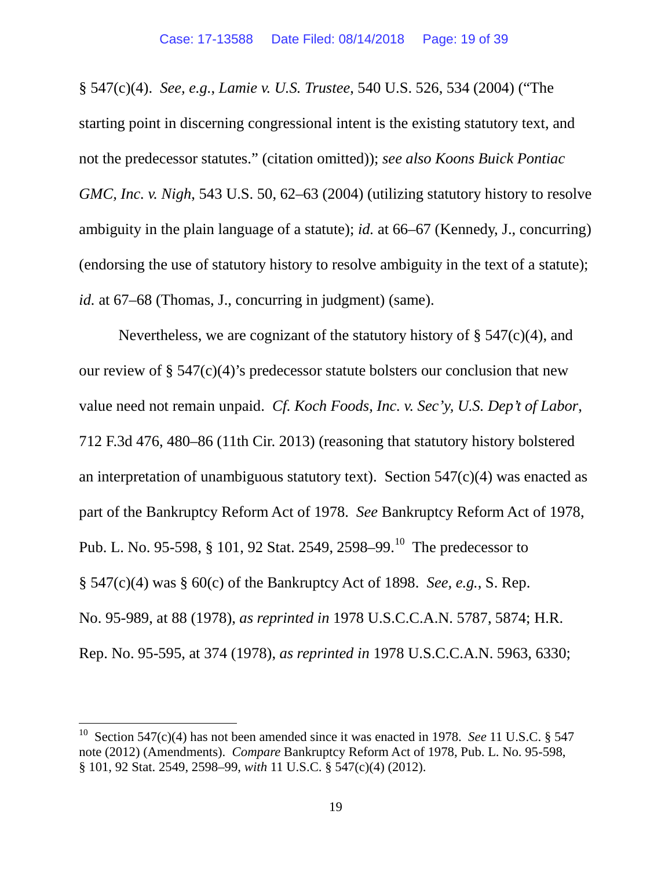§ 547(c)(4). *See, e.g.*, *Lamie v. U.S. Trustee*, 540 U.S. 526, 534 (2004) ("The starting point in discerning congressional intent is the existing statutory text, and not the predecessor statutes." (citation omitted)); *see also Koons Buick Pontiac GMC, Inc. v. Nigh,* 543 U.S. 50, 62–63 (2004) (utilizing statutory history to resolve ambiguity in the plain language of a statute); *id.* at 66–67 (Kennedy, J., concurring) (endorsing the use of statutory history to resolve ambiguity in the text of a statute); *id.* at 67–68 (Thomas, J., concurring in judgment) (same).

Nevertheless, we are cognizant of the statutory history of  $\S$  547(c)(4), and our review of  $\S$  547(c)(4)'s predecessor statute bolsters our conclusion that new value need not remain unpaid. *Cf. Koch Foods, Inc. v. Sec'y, U.S. Dep't of Labor*, 712 F.3d 476, 480–86 (11th Cir. 2013) (reasoning that statutory history bolstered an interpretation of unambiguous statutory text). Section  $547(c)(4)$  was enacted as part of the Bankruptcy Reform Act of 1978. *See* Bankruptcy Reform Act of 1978, Pub. L. No. 95-598, § [10](#page-18-0)1, 92 Stat. 2549, 2598–99.<sup>10</sup> The predecessor to § 547(c)(4) was § 60(c) of the Bankruptcy Act of 1898. *See, e.g.*, S. Rep. No. 95-989, at 88 (1978), *as reprinted in* 1978 U.S.C.C.A.N. 5787, 5874; H.R. Rep. No. 95-595, at 374 (1978), *as reprinted in* 1978 U.S.C.C.A.N. 5963, 6330;

<span id="page-18-0"></span> <sup>10</sup> Section 547(c)(4) has not been amended since it was enacted in 1978. *See* <sup>11</sup> U.S.C. § <sup>547</sup> note (2012) (Amendments). *Compare* Bankruptcy Reform Act of 1978, Pub. L. No. 95-598, § 101, 92 Stat. 2549, 2598–99, *with* 11 U.S.C. § 547(c)(4) (2012).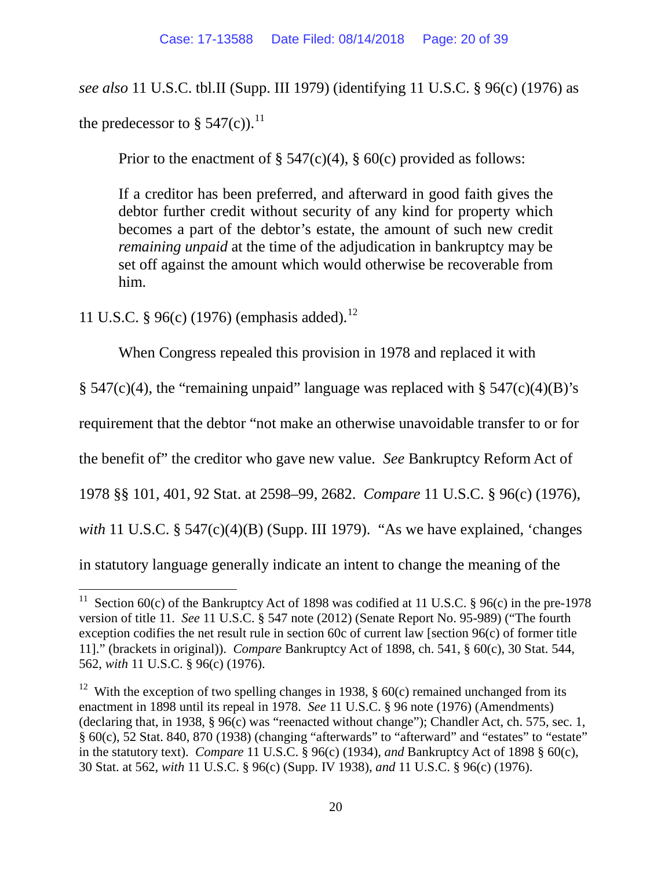*see also* 11 U.S.C. tbl.II (Supp. III 1979) (identifying 11 U.S.C. § 96(c) (1976) as the predecessor to  $\S 547(c)$ .<sup>[11](#page-19-0)</sup>

Prior to the enactment of  $\S 547(c)(4)$ ,  $\S 60(c)$  provided as follows:

If a creditor has been preferred, and afterward in good faith gives the debtor further credit without security of any kind for property which becomes a part of the debtor's estate, the amount of such new credit *remaining unpaid* at the time of the adjudication in bankruptcy may be set off against the amount which would otherwise be recoverable from him.

11 U.S.C. § 96(c) (1976) (emphasis added). [12](#page-19-1)

When Congress repealed this provision in 1978 and replaced it with

 $\S$  547(c)(4), the "remaining unpaid" language was replaced with  $\S$  547(c)(4)(B)'s

requirement that the debtor "not make an otherwise unavoidable transfer to or for

the benefit of" the creditor who gave new value. *See* Bankruptcy Reform Act of

1978 §§ 101, 401, 92 Stat. at 2598–99, 2682. *Compare* 11 U.S.C. § 96(c) (1976),

*with* 11 U.S.C. § 547(c)(4)(B) (Supp. III 1979). "As we have explained, 'changes

in statutory language generally indicate an intent to change the meaning of the

<span id="page-19-0"></span><sup>&</sup>lt;sup>11</sup> Section 60(c) of the Bankruptcy Act of 1898 was codified at 11 U.S.C. § 96(c) in the pre-1978 version of title 11. *See* 11 U.S.C. § 547 note (2012) (Senate Report No. 95-989) ("The fourth exception codifies the net result rule in section 60c of current law [section 96(c) of former title 11]." (brackets in original)). *Compare* Bankruptcy Act of 1898, ch. 541, § 60(c), 30 Stat. 544, 562, *with* 11 U.S.C. § 96(c) (1976).

<span id="page-19-1"></span><sup>&</sup>lt;sup>12</sup> With the exception of two spelling changes in 1938,  $\S$  60(c) remained unchanged from its enactment in 1898 until its repeal in 1978. *See* 11 U.S.C. § 96 note (1976) (Amendments) (declaring that, in 1938, § 96(c) was "reenacted without change"); Chandler Act, ch. 575, sec. 1, § 60(c), 52 Stat. 840, 870 (1938) (changing "afterwards" to "afterward" and "estates" to "estate" in the statutory text). *Compare* 11 U.S.C. § 96(c) (1934), *and* Bankruptcy Act of 1898 § 60(c), 30 Stat. at 562, *with* 11 U.S.C. § 96(c) (Supp. IV 1938), *and* 11 U.S.C. § 96(c) (1976).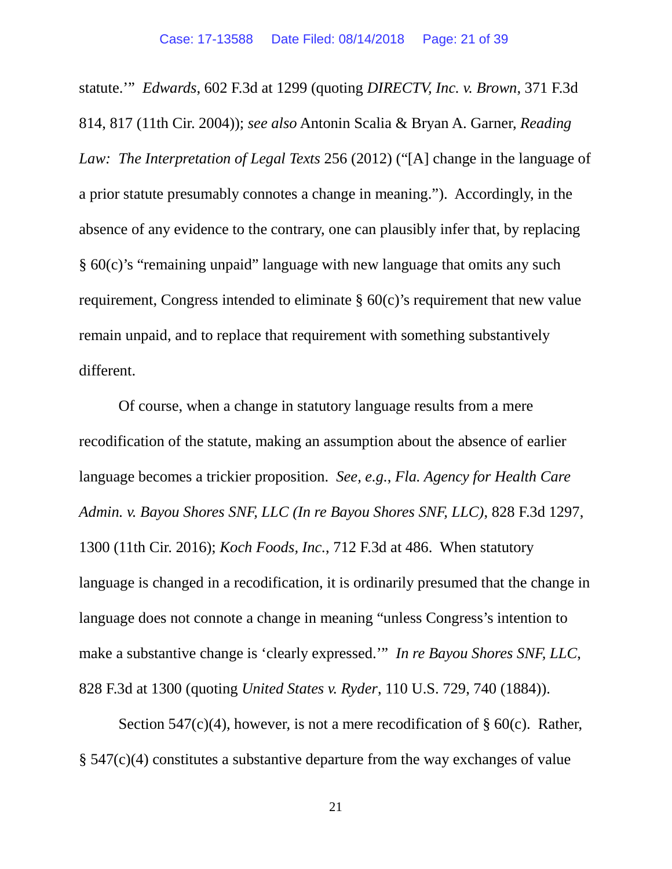statute.'" *Edwards*, 602 F.3d at 1299 (quoting *DIRECTV, Inc. v. Brown*, 371 F.3d 814, 817 (11th Cir. 2004)); *see also* Antonin Scalia & Bryan A. Garner, *Reading Law: The Interpretation of Legal Texts* 256 (2012) ("[A] change in the language of a prior statute presumably connotes a change in meaning."). Accordingly, in the absence of any evidence to the contrary, one can plausibly infer that, by replacing § 60(c)'s "remaining unpaid" language with new language that omits any such requirement, Congress intended to eliminate § 60(c)'s requirement that new value remain unpaid, and to replace that requirement with something substantively different.

Of course, when a change in statutory language results from a mere recodification of the statute, making an assumption about the absence of earlier language becomes a trickier proposition. *See, e.g.*, *Fla. Agency for Health Care Admin. v. Bayou Shores SNF, LLC (In re Bayou Shores SNF, LLC)*, 828 F.3d 1297, 1300 (11th Cir. 2016); *Koch Foods, Inc.*, 712 F.3d at 486. When statutory language is changed in a recodification, it is ordinarily presumed that the change in language does not connote a change in meaning "unless Congress's intention to make a substantive change is 'clearly expressed.'" *In re Bayou Shores SNF, LLC*, 828 F.3d at 1300 (quoting *United States v. Ryder*, 110 U.S. 729, 740 (1884)).

Section 547(c)(4), however, is not a mere recodification of  $\S$  60(c). Rather, § 547(c)(4) constitutes a substantive departure from the way exchanges of value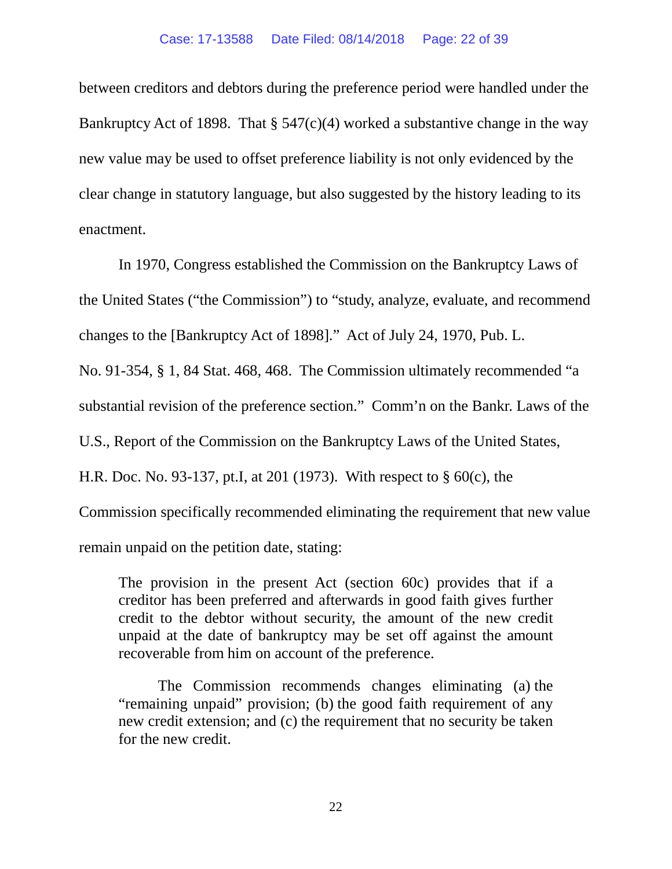between creditors and debtors during the preference period were handled under the Bankruptcy Act of 1898. That  $\S 547(c)(4)$  worked a substantive change in the way new value may be used to offset preference liability is not only evidenced by the clear change in statutory language, but also suggested by the history leading to its enactment.

In 1970, Congress established the Commission on the Bankruptcy Laws of the United States ("the Commission") to "study, analyze, evaluate, and recommend changes to the [Bankruptcy Act of 1898]." Act of July 24, 1970, Pub. L.

No. 91-354, § 1, 84 Stat. 468, 468. The Commission ultimately recommended "a

substantial revision of the preference section." Comm'n on the Bankr. Laws of the

U.S., Report of the Commission on the Bankruptcy Laws of the United States,

H.R. Doc. No. 93-137, pt.I, at 201 (1973). With respect to § 60(c), the

Commission specifically recommended eliminating the requirement that new value

remain unpaid on the petition date, stating:

The provision in the present Act (section 60c) provides that if a creditor has been preferred and afterwards in good faith gives further credit to the debtor without security, the amount of the new credit unpaid at the date of bankruptcy may be set off against the amount recoverable from him on account of the preference.

The Commission recommends changes eliminating (a) the "remaining unpaid" provision; (b) the good faith requirement of any new credit extension; and (c) the requirement that no security be taken for the new credit.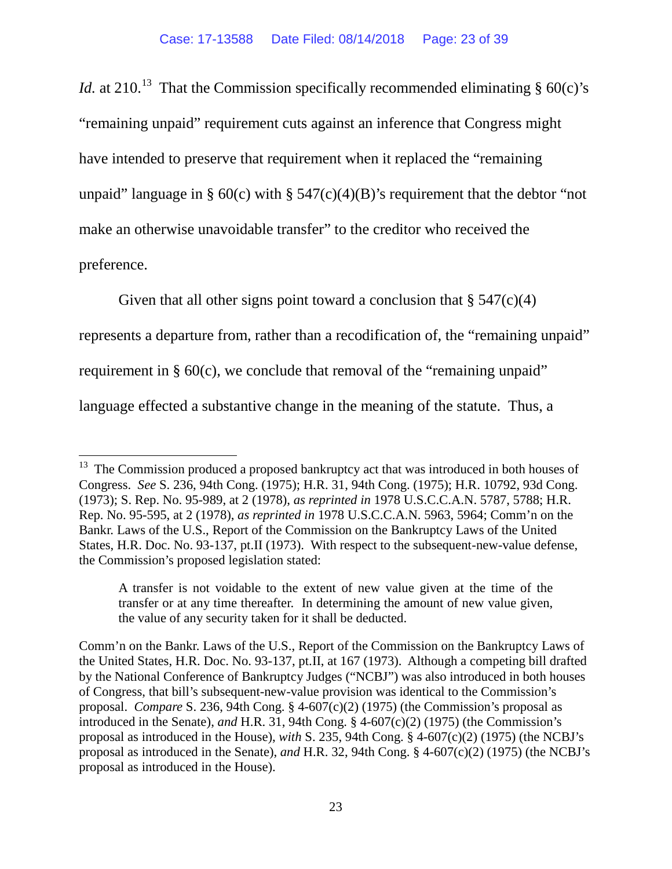*Id.* at 210.<sup>[13](#page-22-0)</sup> That the Commission specifically recommended eliminating  $\S$  60(c)'s "remaining unpaid" requirement cuts against an inference that Congress might have intended to preserve that requirement when it replaced the "remaining unpaid" language in § 60(c) with § 547(c)(4)(B)'s requirement that the debtor "not make an otherwise unavoidable transfer" to the creditor who received the preference.

Given that all other signs point toward a conclusion that  $\S 547(c)(4)$ represents a departure from, rather than a recodification of, the "remaining unpaid" requirement in § 60(c), we conclude that removal of the "remaining unpaid" language effected a substantive change in the meaning of the statute. Thus, a

A transfer is not voidable to the extent of new value given at the time of the transfer or at any time thereafter. In determining the amount of new value given, the value of any security taken for it shall be deducted.

Comm'n on the Bankr. Laws of the U.S., Report of the Commission on the Bankruptcy Laws of the United States, H.R. Doc. No. 93-137, pt.II, at 167 (1973). Although a competing bill drafted by the National Conference of Bankruptcy Judges ("NCBJ") was also introduced in both houses of Congress, that bill's subsequent-new-value provision was identical to the Commission's proposal. *Compare* S. 236, 94th Cong. § 4-607(c)(2) (1975) (the Commission's proposal as introduced in the Senate), *and* H.R. 31, 94th Cong. § 4-607(c)(2) (1975) (the Commission's proposal as introduced in the House), *with* S. 235, 94th Cong. § 4-607(c)(2) (1975) (the NCBJ's proposal as introduced in the Senate), *and* H.R. 32, 94th Cong. § 4-607(c)(2) (1975) (the NCBJ's proposal as introduced in the House).

<span id="page-22-0"></span><sup>&</sup>lt;sup>13</sup> The Commission produced a proposed bankruptcy act that was introduced in both houses of Congress. *See* S. 236, 94th Cong. (1975); H.R. 31, 94th Cong. (1975); H.R. 10792, 93d Cong. (1973); S. Rep. No. 95-989, at 2 (1978), *as reprinted in* 1978 U.S.C.C.A.N. 5787, 5788; H.R. Rep. No. 95-595, at 2 (1978), *as reprinted in* 1978 U.S.C.C.A.N. 5963, 5964; Comm'n on the Bankr. Laws of the U.S., Report of the Commission on the Bankruptcy Laws of the United States, H.R. Doc. No. 93-137, pt.II (1973). With respect to the subsequent-new-value defense, the Commission's proposed legislation stated: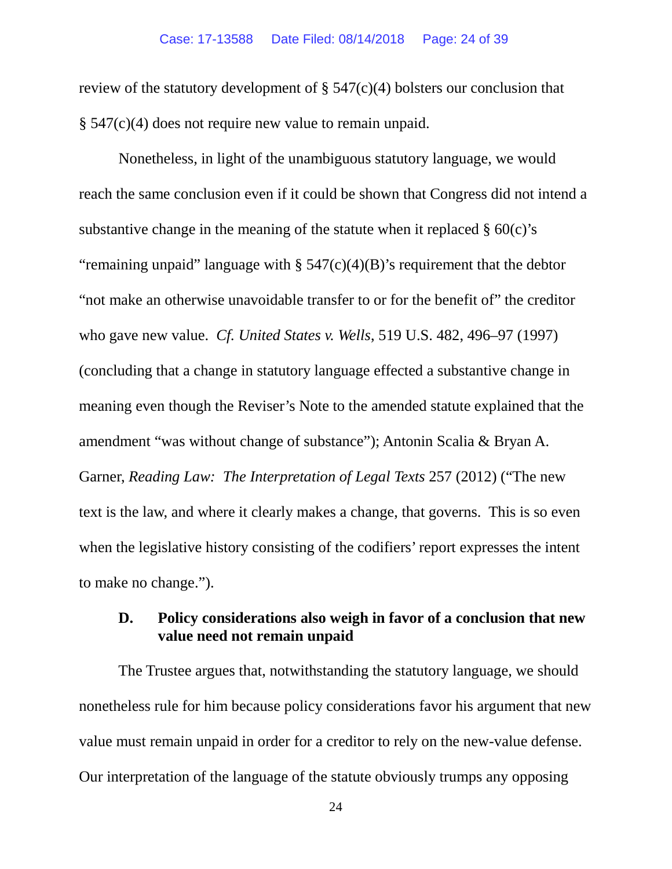review of the statutory development of  $\S$  547(c)(4) bolsters our conclusion that § 547(c)(4) does not require new value to remain unpaid.

Nonetheless, in light of the unambiguous statutory language, we would reach the same conclusion even if it could be shown that Congress did not intend a substantive change in the meaning of the statute when it replaced  $\S 60(c)$ 's "remaining unpaid" language with  $\S 547(c)(4)(B)$ 's requirement that the debtor "not make an otherwise unavoidable transfer to or for the benefit of" the creditor who gave new value. *Cf. United States v. Wells*, 519 U.S. 482, 496–97 (1997) (concluding that a change in statutory language effected a substantive change in meaning even though the Reviser's Note to the amended statute explained that the amendment "was without change of substance"); Antonin Scalia & Bryan A. Garner, *Reading Law: The Interpretation of Legal Texts* 257 (2012) ("The new text is the law, and where it clearly makes a change, that governs. This is so even when the legislative history consisting of the codifiers' report expresses the intent to make no change.").

# **D. Policy considerations also weigh in favor of a conclusion that new value need not remain unpaid**

The Trustee argues that, notwithstanding the statutory language, we should nonetheless rule for him because policy considerations favor his argument that new value must remain unpaid in order for a creditor to rely on the new-value defense. Our interpretation of the language of the statute obviously trumps any opposing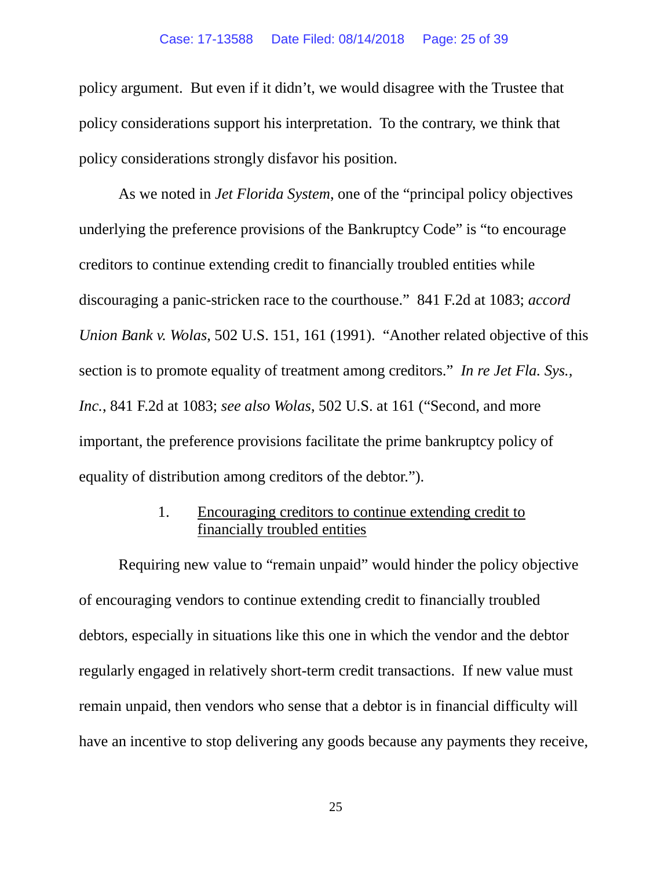## Case: 17-13588 Date Filed: 08/14/2018 Page: 25 of 39

policy argument. But even if it didn't, we would disagree with the Trustee that policy considerations support his interpretation. To the contrary, we think that policy considerations strongly disfavor his position.

As we noted in *Jet Florida System*, one of the "principal policy objectives underlying the preference provisions of the Bankruptcy Code" is "to encourage creditors to continue extending credit to financially troubled entities while discouraging a panic-stricken race to the courthouse." 841 F.2d at 1083; *accord Union Bank v. Wolas*, 502 U.S. 151, 161 (1991). "Another related objective of this section is to promote equality of treatment among creditors." *In re Jet Fla. Sys., Inc.*, 841 F.2d at 1083; *see also Wolas*, 502 U.S. at 161 ("Second, and more important, the preference provisions facilitate the prime bankruptcy policy of equality of distribution among creditors of the debtor.").

# 1. Encouraging creditors to continue extending credit to financially troubled entities

Requiring new value to "remain unpaid" would hinder the policy objective of encouraging vendors to continue extending credit to financially troubled debtors, especially in situations like this one in which the vendor and the debtor regularly engaged in relatively short-term credit transactions. If new value must remain unpaid, then vendors who sense that a debtor is in financial difficulty will have an incentive to stop delivering any goods because any payments they receive,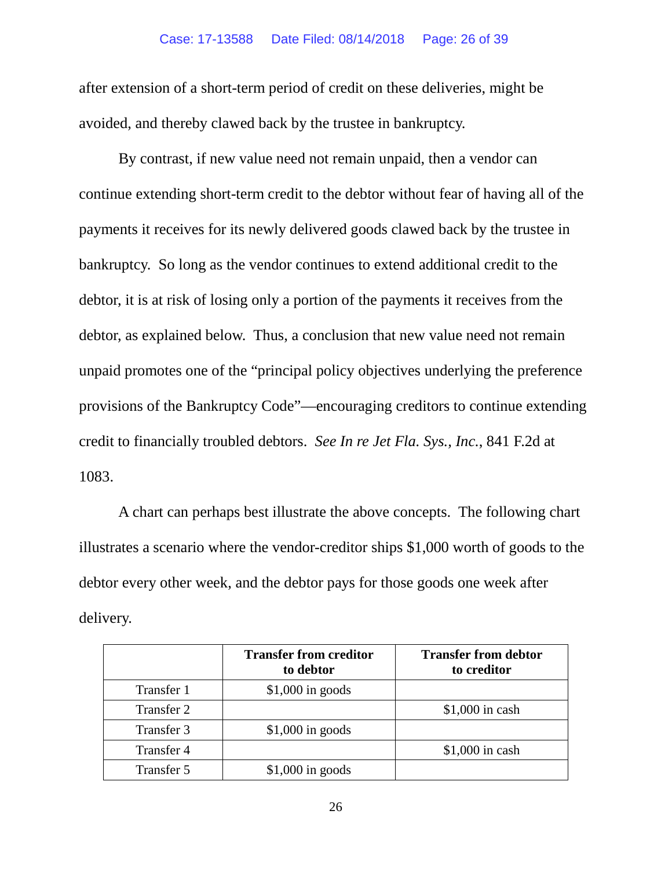## Case: 17-13588 Date Filed: 08/14/2018 Page: 26 of 39

after extension of a short-term period of credit on these deliveries, might be avoided, and thereby clawed back by the trustee in bankruptcy.

By contrast, if new value need not remain unpaid, then a vendor can continue extending short-term credit to the debtor without fear of having all of the payments it receives for its newly delivered goods clawed back by the trustee in bankruptcy. So long as the vendor continues to extend additional credit to the debtor, it is at risk of losing only a portion of the payments it receives from the debtor, as explained below. Thus, a conclusion that new value need not remain unpaid promotes one of the "principal policy objectives underlying the preference provisions of the Bankruptcy Code"—encouraging creditors to continue extending credit to financially troubled debtors. *See In re Jet Fla. Sys., Inc.*, 841 F.2d at 1083.

A chart can perhaps best illustrate the above concepts. The following chart illustrates a scenario where the vendor-creditor ships \$1,000 worth of goods to the debtor every other week, and the debtor pays for those goods one week after delivery.

|            | <b>Transfer from creditor</b><br>to debtor | <b>Transfer from debtor</b><br>to creditor |
|------------|--------------------------------------------|--------------------------------------------|
| Transfer 1 | $$1,000$ in goods                          |                                            |
| Transfer 2 |                                            | $$1,000$ in cash                           |
| Transfer 3 | $$1,000$ in goods                          |                                            |
| Transfer 4 |                                            | $$1,000$ in cash                           |
| Transfer 5 | $$1,000$ in goods                          |                                            |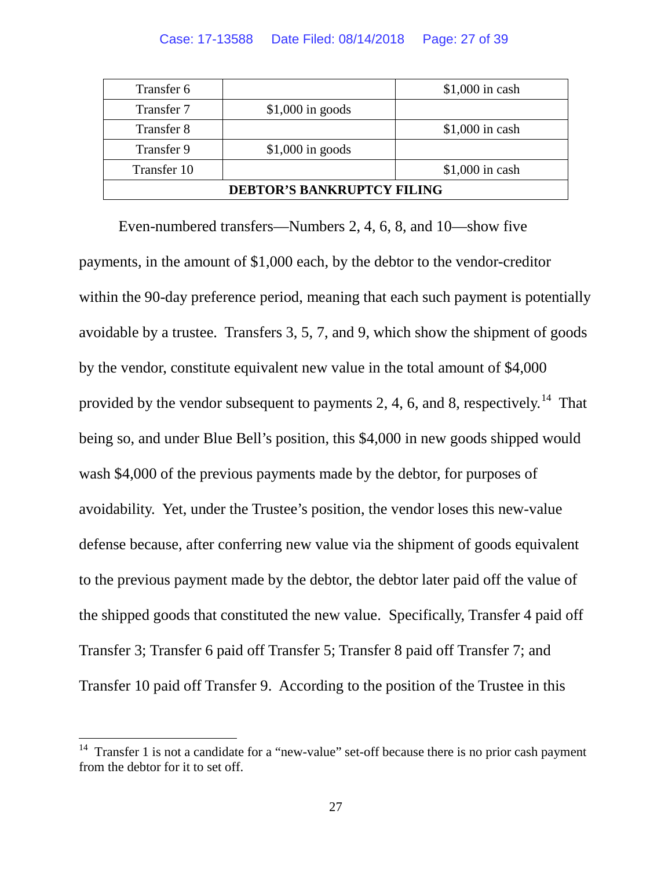| Transfer 6                        |                   | $$1,000$ in cash |  |
|-----------------------------------|-------------------|------------------|--|
| Transfer 7                        | $$1,000$ in goods |                  |  |
| Transfer 8                        |                   | $$1,000$ in cash |  |
| Transfer 9                        | $$1,000$ in goods |                  |  |
| Transfer 10                       |                   | $$1,000$ in cash |  |
| <b>DEBTOR'S BANKRUPTCY FILING</b> |                   |                  |  |

Even-numbered transfers—Numbers 2, 4, 6, 8, and 10—show five payments, in the amount of \$1,000 each, by the debtor to the vendor-creditor within the 90-day preference period, meaning that each such payment is potentially avoidable by a trustee. Transfers 3, 5, 7, and 9, which show the shipment of goods by the vendor, constitute equivalent new value in the total amount of \$4,000 provided by the vendor subsequent to payments 2, 4, 6, and 8, respectively.<sup>14</sup> That being so, and under Blue Bell's position, this \$4,000 in new goods shipped would wash \$4,000 of the previous payments made by the debtor, for purposes of avoidability. Yet, under the Trustee's position, the vendor loses this new-value defense because, after conferring new value via the shipment of goods equivalent to the previous payment made by the debtor, the debtor later paid off the value of the shipped goods that constituted the new value. Specifically, Transfer 4 paid off Transfer 3; Transfer 6 paid off Transfer 5; Transfer 8 paid off Transfer 7; and Transfer 10 paid off Transfer 9. According to the position of the Trustee in this

<span id="page-26-0"></span><sup>&</sup>lt;sup>14</sup> Transfer 1 is not a candidate for a "new-value" set-off because there is no prior cash payment from the debtor for it to set off.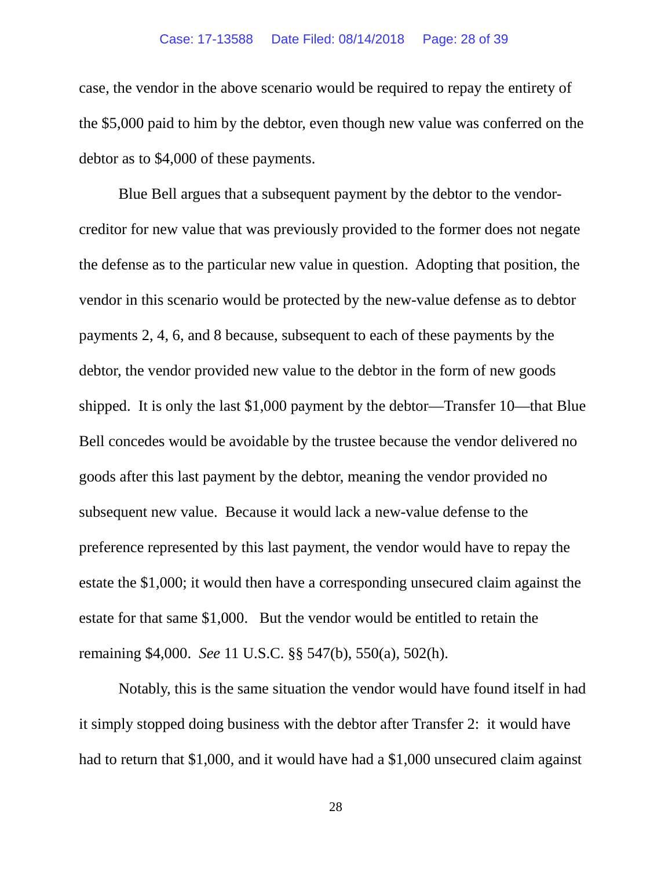## Case: 17-13588 Date Filed: 08/14/2018 Page: 28 of 39

case, the vendor in the above scenario would be required to repay the entirety of the \$5,000 paid to him by the debtor, even though new value was conferred on the debtor as to \$4,000 of these payments.

Blue Bell argues that a subsequent payment by the debtor to the vendorcreditor for new value that was previously provided to the former does not negate the defense as to the particular new value in question. Adopting that position, the vendor in this scenario would be protected by the new-value defense as to debtor payments 2, 4, 6, and 8 because, subsequent to each of these payments by the debtor, the vendor provided new value to the debtor in the form of new goods shipped. It is only the last \$1,000 payment by the debtor—Transfer 10—that Blue Bell concedes would be avoidable by the trustee because the vendor delivered no goods after this last payment by the debtor, meaning the vendor provided no subsequent new value. Because it would lack a new-value defense to the preference represented by this last payment, the vendor would have to repay the estate the \$1,000; it would then have a corresponding unsecured claim against the estate for that same \$1,000. But the vendor would be entitled to retain the remaining \$4,000. *See* 11 U.S.C. §§ 547(b), 550(a), 502(h).

Notably, this is the same situation the vendor would have found itself in had it simply stopped doing business with the debtor after Transfer 2: it would have had to return that \$1,000, and it would have had a \$1,000 unsecured claim against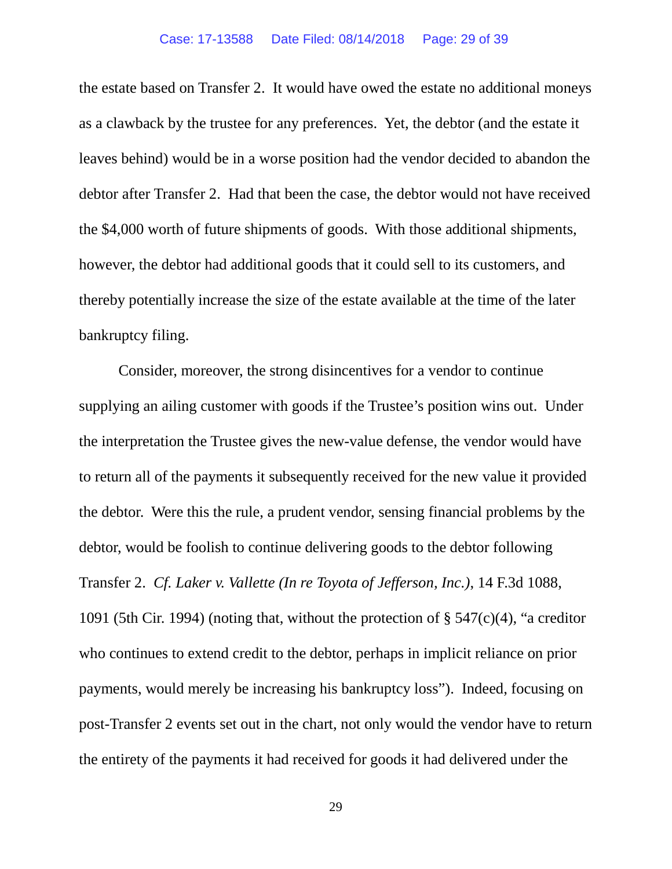the estate based on Transfer 2. It would have owed the estate no additional moneys as a clawback by the trustee for any preferences. Yet, the debtor (and the estate it leaves behind) would be in a worse position had the vendor decided to abandon the debtor after Transfer 2. Had that been the case, the debtor would not have received the \$4,000 worth of future shipments of goods. With those additional shipments, however, the debtor had additional goods that it could sell to its customers, and thereby potentially increase the size of the estate available at the time of the later bankruptcy filing.

Consider, moreover, the strong disincentives for a vendor to continue supplying an ailing customer with goods if the Trustee's position wins out. Under the interpretation the Trustee gives the new-value defense, the vendor would have to return all of the payments it subsequently received for the new value it provided the debtor. Were this the rule, a prudent vendor, sensing financial problems by the debtor, would be foolish to continue delivering goods to the debtor following Transfer 2. *Cf. Laker v. Vallette (In re Toyota of Jefferson, Inc.)*, 14 F.3d 1088, 1091 (5th Cir. 1994) (noting that, without the protection of § 547(c)(4), "a creditor who continues to extend credit to the debtor, perhaps in implicit reliance on prior payments, would merely be increasing his bankruptcy loss"). Indeed, focusing on post-Transfer 2 events set out in the chart, not only would the vendor have to return the entirety of the payments it had received for goods it had delivered under the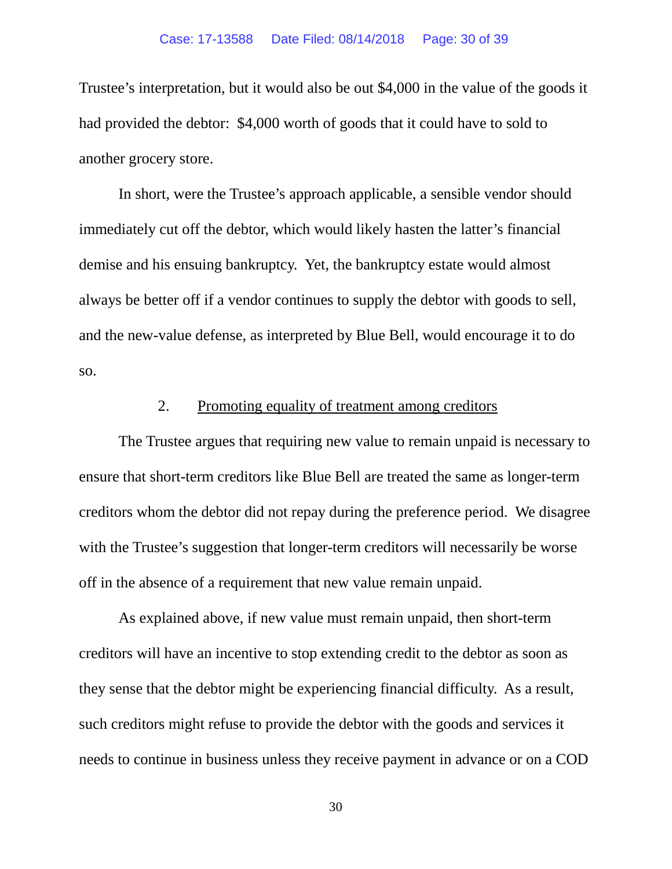Trustee's interpretation, but it would also be out \$4,000 in the value of the goods it had provided the debtor: \$4,000 worth of goods that it could have to sold to another grocery store.

In short, were the Trustee's approach applicable, a sensible vendor should immediately cut off the debtor, which would likely hasten the latter's financial demise and his ensuing bankruptcy. Yet, the bankruptcy estate would almost always be better off if a vendor continues to supply the debtor with goods to sell, and the new-value defense, as interpreted by Blue Bell, would encourage it to do so.

# 2. Promoting equality of treatment among creditors

The Trustee argues that requiring new value to remain unpaid is necessary to ensure that short-term creditors like Blue Bell are treated the same as longer-term creditors whom the debtor did not repay during the preference period. We disagree with the Trustee's suggestion that longer-term creditors will necessarily be worse off in the absence of a requirement that new value remain unpaid.

As explained above, if new value must remain unpaid, then short-term creditors will have an incentive to stop extending credit to the debtor as soon as they sense that the debtor might be experiencing financial difficulty. As a result, such creditors might refuse to provide the debtor with the goods and services it needs to continue in business unless they receive payment in advance or on a COD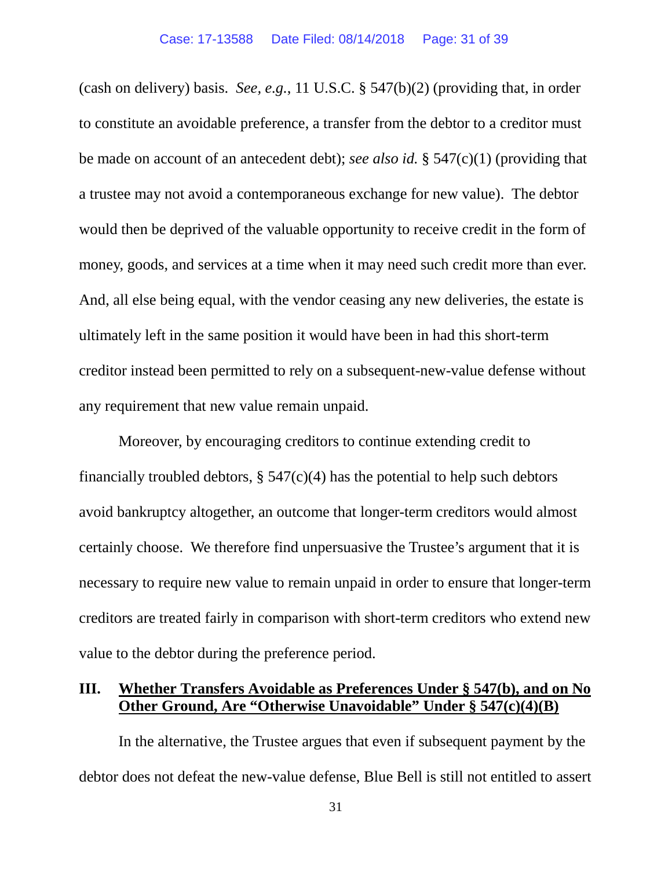(cash on delivery) basis. *See, e.g.*, 11 U.S.C. § 547(b)(2) (providing that, in order to constitute an avoidable preference, a transfer from the debtor to a creditor must be made on account of an antecedent debt); *see also id.* § 547(c)(1) (providing that a trustee may not avoid a contemporaneous exchange for new value). The debtor would then be deprived of the valuable opportunity to receive credit in the form of money, goods, and services at a time when it may need such credit more than ever. And, all else being equal, with the vendor ceasing any new deliveries, the estate is ultimately left in the same position it would have been in had this short-term creditor instead been permitted to rely on a subsequent-new-value defense without any requirement that new value remain unpaid.

Moreover, by encouraging creditors to continue extending credit to financially troubled debtors,  $\S$  547(c)(4) has the potential to help such debtors avoid bankruptcy altogether, an outcome that longer-term creditors would almost certainly choose. We therefore find unpersuasive the Trustee's argument that it is necessary to require new value to remain unpaid in order to ensure that longer-term creditors are treated fairly in comparison with short-term creditors who extend new value to the debtor during the preference period.

# **III. Whether Transfers Avoidable as Preferences Under § 547(b), and on No Other Ground, Are "Otherwise Unavoidable" Under § 547(c)(4)(B)**

In the alternative, the Trustee argues that even if subsequent payment by the debtor does not defeat the new-value defense, Blue Bell is still not entitled to assert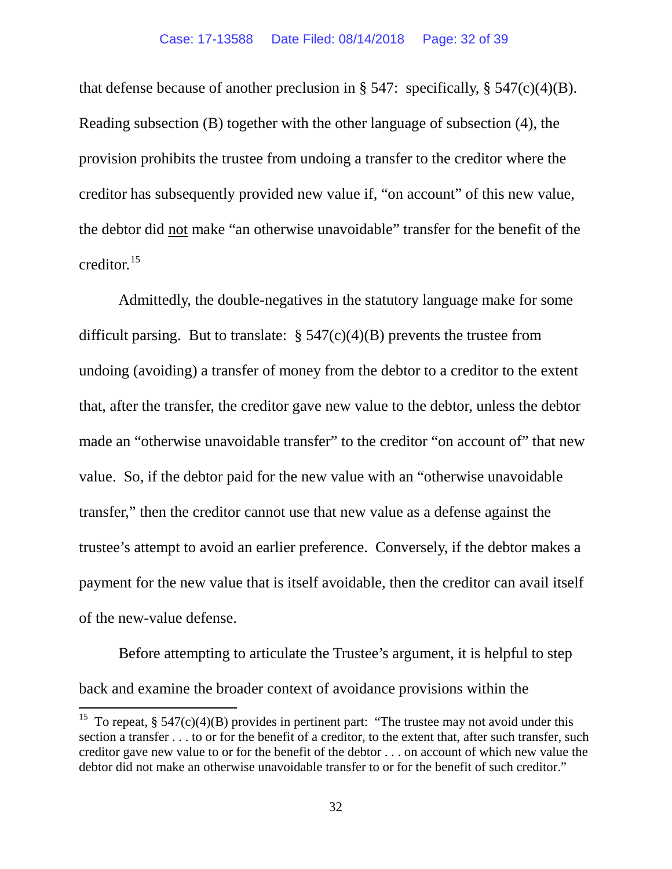that defense because of another preclusion in § 547: specifically, § 547(c)(4)(B). Reading subsection (B) together with the other language of subsection (4), the provision prohibits the trustee from undoing a transfer to the creditor where the creditor has subsequently provided new value if, "on account" of this new value, the debtor did not make "an otherwise unavoidable" transfer for the benefit of the creditor.[15](#page-31-0) 

Admittedly, the double-negatives in the statutory language make for some difficult parsing. But to translate:  $\S 547(c)(4)(B)$  prevents the trustee from undoing (avoiding) a transfer of money from the debtor to a creditor to the extent that, after the transfer, the creditor gave new value to the debtor, unless the debtor made an "otherwise unavoidable transfer" to the creditor "on account of" that new value. So, if the debtor paid for the new value with an "otherwise unavoidable transfer," then the creditor cannot use that new value as a defense against the trustee's attempt to avoid an earlier preference. Conversely, if the debtor makes a payment for the new value that is itself avoidable, then the creditor can avail itself of the new-value defense.

Before attempting to articulate the Trustee's argument, it is helpful to step back and examine the broader context of avoidance provisions within the

<span id="page-31-0"></span><sup>&</sup>lt;sup>15</sup> To repeat, § 547(c)(4)(B) provides in pertinent part: "The trustee may not avoid under this section a transfer . . . to or for the benefit of a creditor, to the extent that, after such transfer, such creditor gave new value to or for the benefit of the debtor . . . on account of which new value the debtor did not make an otherwise unavoidable transfer to or for the benefit of such creditor."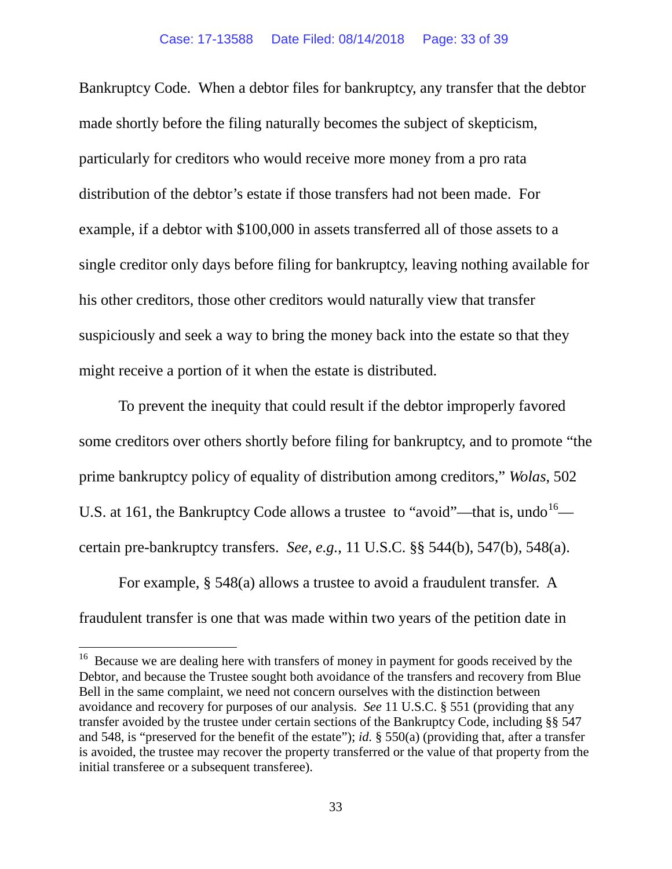Bankruptcy Code. When a debtor files for bankruptcy, any transfer that the debtor made shortly before the filing naturally becomes the subject of skepticism, particularly for creditors who would receive more money from a pro rata distribution of the debtor's estate if those transfers had not been made. For example, if a debtor with \$100,000 in assets transferred all of those assets to a single creditor only days before filing for bankruptcy, leaving nothing available for his other creditors, those other creditors would naturally view that transfer suspiciously and seek a way to bring the money back into the estate so that they might receive a portion of it when the estate is distributed.

To prevent the inequity that could result if the debtor improperly favored some creditors over others shortly before filing for bankruptcy, and to promote "the prime bankruptcy policy of equality of distribution among creditors," *Wolas*, 502 U.S. at 161, the Bankruptcy Code allows a trustee to "avoid"—that is, undo  $16$  certain pre-bankruptcy transfers. *See, e.g.*, 11 U.S.C. §§ 544(b), 547(b), 548(a).

For example, § 548(a) allows a trustee to avoid a fraudulent transfer. A fraudulent transfer is one that was made within two years of the petition date in

<span id="page-32-0"></span><sup>&</sup>lt;sup>16</sup> Because we are dealing here with transfers of money in payment for goods received by the Debtor, and because the Trustee sought both avoidance of the transfers and recovery from Blue Bell in the same complaint, we need not concern ourselves with the distinction between avoidance and recovery for purposes of our analysis. *See* 11 U.S.C. § 551 (providing that any transfer avoided by the trustee under certain sections of the Bankruptcy Code, including §§ 547 and 548, is "preserved for the benefit of the estate"); *id.* § 550(a) (providing that, after a transfer is avoided, the trustee may recover the property transferred or the value of that property from the initial transferee or a subsequent transferee).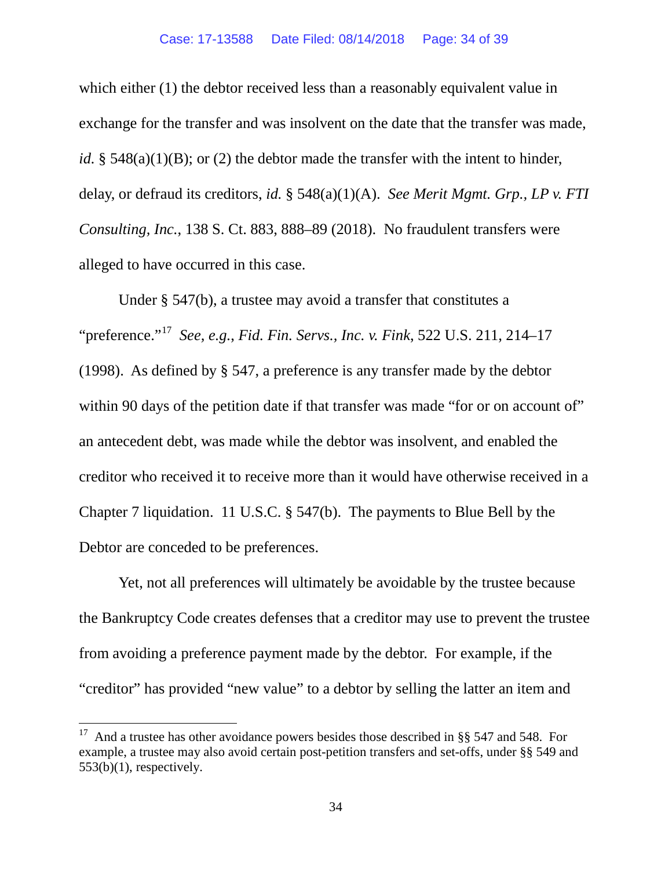which either (1) the debtor received less than a reasonably equivalent value in exchange for the transfer and was insolvent on the date that the transfer was made, *id.* § 548(a)(1)(B); or (2) the debtor made the transfer with the intent to hinder, delay, or defraud its creditors, *id.* § 548(a)(1)(A). *See Merit Mgmt. Grp., LP v. FTI Consulting, Inc.*, 138 S. Ct. 883, 888–89 (2018). No fraudulent transfers were alleged to have occurred in this case.

Under § 547(b), a trustee may avoid a transfer that constitutes a "preference."[17](#page-33-0) *See, e.g.*, *Fid. Fin. Servs., Inc. v. Fink*, 522 U.S. 211, 214–17 (1998). As defined by § 547, a preference is any transfer made by the debtor within 90 days of the petition date if that transfer was made "for or on account of" an antecedent debt, was made while the debtor was insolvent, and enabled the creditor who received it to receive more than it would have otherwise received in a Chapter 7 liquidation. 11 U.S.C. § 547(b). The payments to Blue Bell by the Debtor are conceded to be preferences.

Yet, not all preferences will ultimately be avoidable by the trustee because the Bankruptcy Code creates defenses that a creditor may use to prevent the trustee from avoiding a preference payment made by the debtor. For example, if the "creditor" has provided "new value" to a debtor by selling the latter an item and

<span id="page-33-0"></span> <sup>17</sup> And a trustee has other avoidance powers besides those described in §§ 547 and 548. For example, a trustee may also avoid certain post-petition transfers and set-offs, under §§ 549 and  $553(b)(1)$ , respectively.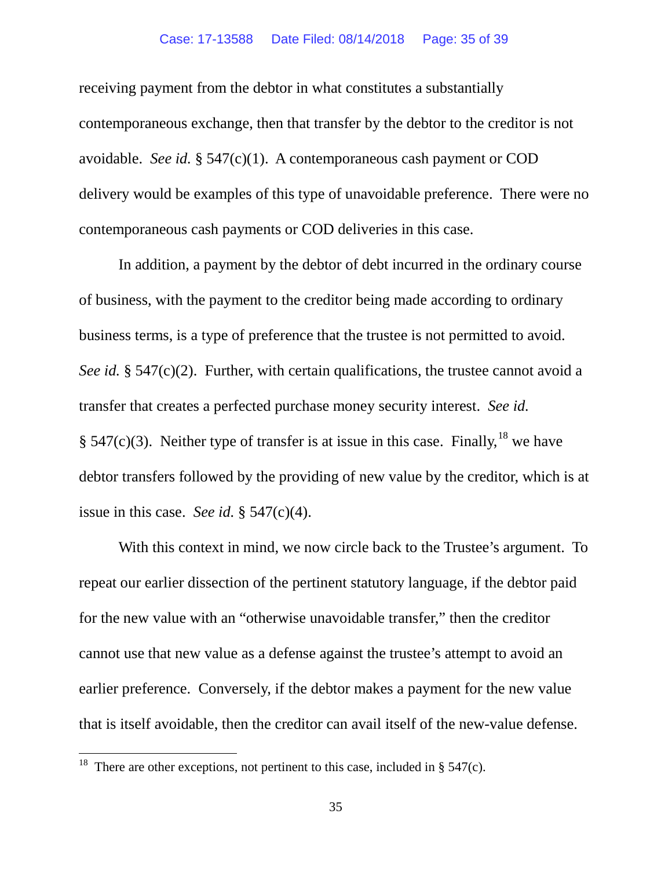#### Case: 17-13588 Date Filed: 08/14/2018 Page: 35 of 39

receiving payment from the debtor in what constitutes a substantially contemporaneous exchange, then that transfer by the debtor to the creditor is not avoidable. *See id.* § 547(c)(1). A contemporaneous cash payment or COD delivery would be examples of this type of unavoidable preference. There were no contemporaneous cash payments or COD deliveries in this case.

In addition, a payment by the debtor of debt incurred in the ordinary course of business, with the payment to the creditor being made according to ordinary business terms, is a type of preference that the trustee is not permitted to avoid. *See id.* § 547(c)(2). Further, with certain qualifications, the trustee cannot avoid a transfer that creates a perfected purchase money security interest. *See id.* § 547(c)(3). Neither type of transfer is at issue in this case. Finally, <sup>[18](#page-34-0)</sup> we have debtor transfers followed by the providing of new value by the creditor, which is at issue in this case. *See id.* § 547(c)(4).

With this context in mind, we now circle back to the Trustee's argument. To repeat our earlier dissection of the pertinent statutory language, if the debtor paid for the new value with an "otherwise unavoidable transfer," then the creditor cannot use that new value as a defense against the trustee's attempt to avoid an earlier preference. Conversely, if the debtor makes a payment for the new value that is itself avoidable, then the creditor can avail itself of the new-value defense.

<span id="page-34-0"></span><sup>&</sup>lt;sup>18</sup> There are other exceptions, not pertinent to this case, included in § 547(c).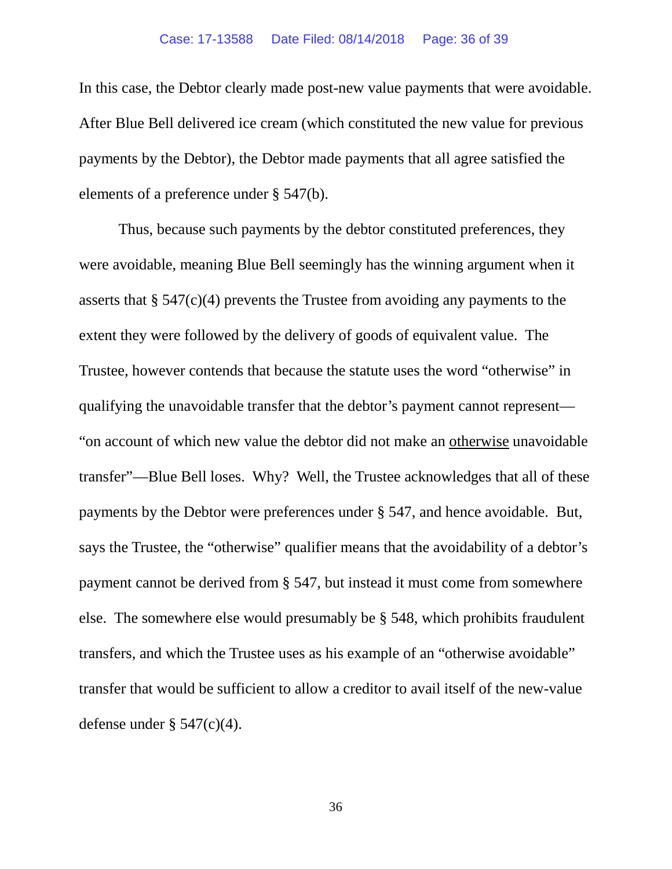In this case, the Debtor clearly made post-new value payments that were avoidable. After Blue Bell delivered ice cream (which constituted the new value for previous payments by the Debtor), the Debtor made payments that all agree satisfied the elements of a preference under § 547(b).

Thus, because such payments by the debtor constituted preferences, they were avoidable, meaning Blue Bell seemingly has the winning argument when it asserts that  $\S 547(c)(4)$  prevents the Trustee from avoiding any payments to the extent they were followed by the delivery of goods of equivalent value. The Trustee, however contends that because the statute uses the word "otherwise" in qualifying the unavoidable transfer that the debtor's payment cannot represent— "on account of which new value the debtor did not make an otherwise unavoidable transfer"—Blue Bell loses. Why? Well, the Trustee acknowledges that all of these payments by the Debtor were preferences under § 547, and hence avoidable. But, says the Trustee, the "otherwise" qualifier means that the avoidability of a debtor's payment cannot be derived from § 547, but instead it must come from somewhere else. The somewhere else would presumably be § 548, which prohibits fraudulent transfers, and which the Trustee uses as his example of an "otherwise avoidable" transfer that would be sufficient to allow a creditor to avail itself of the new-value defense under  $\S$  547(c)(4).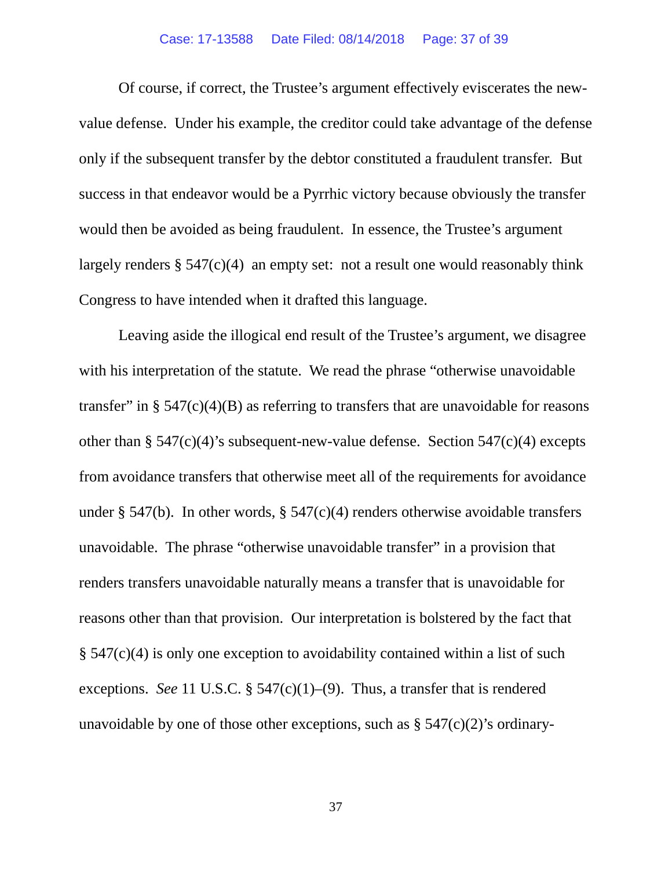#### Case: 17-13588 Date Filed: 08/14/2018 Page: 37 of 39

Of course, if correct, the Trustee's argument effectively eviscerates the newvalue defense. Under his example, the creditor could take advantage of the defense only if the subsequent transfer by the debtor constituted a fraudulent transfer. But success in that endeavor would be a Pyrrhic victory because obviously the transfer would then be avoided as being fraudulent. In essence, the Trustee's argument largely renders  $\S 547(c)(4)$  an empty set: not a result one would reasonably think Congress to have intended when it drafted this language.

Leaving aside the illogical end result of the Trustee's argument, we disagree with his interpretation of the statute. We read the phrase "otherwise unavoidable" transfer" in  $\S$  547(c)(4)(B) as referring to transfers that are unavoidable for reasons other than  $\S$  547(c)(4)'s subsequent-new-value defense. Section 547(c)(4) excepts from avoidance transfers that otherwise meet all of the requirements for avoidance under § 547(b). In other words, § 547(c)(4) renders otherwise avoidable transfers unavoidable. The phrase "otherwise unavoidable transfer" in a provision that renders transfers unavoidable naturally means a transfer that is unavoidable for reasons other than that provision. Our interpretation is bolstered by the fact that § 547(c)(4) is only one exception to avoidability contained within a list of such exceptions. *See* 11 U.S.C. §  $547(c)(1)–(9)$ . Thus, a transfer that is rendered unavoidable by one of those other exceptions, such as  $\S$  547(c)(2)'s ordinary-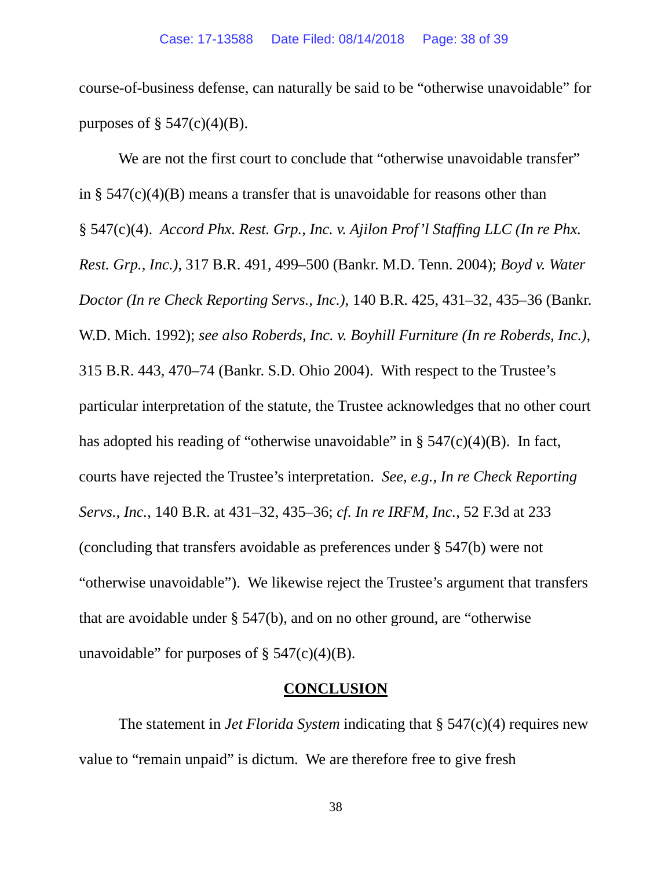course-of-business defense, can naturally be said to be "otherwise unavoidable" for purposes of  $\S$  547(c)(4)(B).

We are not the first court to conclude that "otherwise unavoidable transfer" in §  $547(c)(4)(B)$  means a transfer that is unavoidable for reasons other than § 547(c)(4). *Accord Phx. Rest. Grp., Inc. v. Ajilon Prof'l Staffing LLC (In re Phx. Rest. Grp., Inc.)*, 317 B.R. 491, 499–500 (Bankr. M.D. Tenn. 2004); *Boyd v. Water Doctor (In re Check Reporting Servs., Inc.)*, 140 B.R. 425, 431–32, 435–36 (Bankr. W.D. Mich. 1992); *see also Roberds, Inc. v. Boyhill Furniture (In re Roberds, Inc.)*, 315 B.R. 443, 470–74 (Bankr. S.D. Ohio 2004). With respect to the Trustee's particular interpretation of the statute, the Trustee acknowledges that no other court has adopted his reading of "otherwise unavoidable" in  $\S$  547(c)(4)(B). In fact, courts have rejected the Trustee's interpretation. *See, e.g.*, *In re Check Reporting Servs., Inc.*, 140 B.R. at 431–32, 435–36; *cf. In re IRFM, Inc.*, 52 F.3d at 233 (concluding that transfers avoidable as preferences under § 547(b) were not "otherwise unavoidable"). We likewise reject the Trustee's argument that transfers that are avoidable under § 547(b), and on no other ground, are "otherwise unavoidable" for purposes of  $\S$  547(c)(4)(B).

## **CONCLUSION**

The statement in *Jet Florida System* indicating that § 547(c)(4) requires new value to "remain unpaid" is dictum. We are therefore free to give fresh